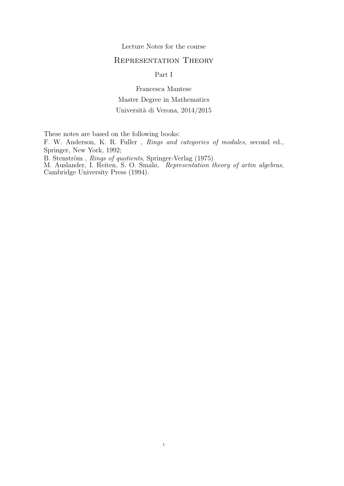Lecture Notes for the course

# Representation Theory

Part I

Francesca Mantese Master Degree in Mathematics Università di Verona, 2014/2015

These notes are based on the following books:

F. W. Anderson, K. R. Fuller , Rings and categories of modules, second ed., Springer, New York, 1992;

B. Stenström, Rings of quotients, Springer-Verlag (1975)

M. Auslander, I. Reiten, S. O. Smalø, Representation theory of artin algebras, Cambridge University Press (1994).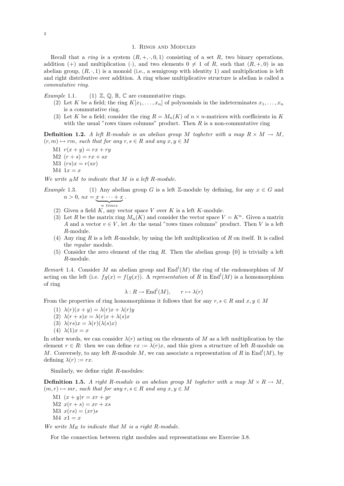#### 1. Rings and Modules

Recall that a ring is a system  $(R, +, \cdot, 0, 1)$  consisting of a set R, two binary operations, addition (+) and multiplication (-), and two elements  $0 \neq 1$  of R, such that  $(R, +, 0)$  is an abelian group,  $(R, \cdot, 1)$  is a monoid (i.e., a semigroup with identity 1) and multiplication is left and right distributive over addition. A ring whose multiplicative structure is abelian is called a commutative ring.

Example 1.1. (1)  $\mathbb{Z}, \mathbb{Q}, \mathbb{R}, \mathbb{C}$  are commutative rings.

- (2) Let K be a field; the ring  $K[x_1, \ldots, x_n]$  of polynomials in the indeterminates  $x_1, \ldots, x_n$ is a commutative ring.
- (3) Let K be a field; consider the ring  $R = M_n(K)$  of  $n \times n$ -matrices with coefficients in K with the usual "rows times columns" product. Then  $R$  is a non-commutative ring

**Definition 1.2.** A left R-module is an abelian group M togheter with a map  $R \times M \rightarrow M$ ,  $(r, m) \mapsto rm$ , such that for any  $r, s \in R$  and any  $x, y \in M$ 

- M1  $r(x + y) = rx + ry$
- $M2(r + s) = rx + sx$
- $M3 (rs)x = r(sx)$
- $M4 \t1x = x$

We write  $_R M$  to indicate that M is a left R-module.

- Example 1.3. (1) Any abelian group G is a left Z-module by defining, for any  $x \in G$  and  $n > 0$ ,  $nx = x + \cdots + x$  $\overline{n}$  times .
	- (2) Given a field  $K$ , any vector space V over  $K$  is a left  $K$ -module.
	- (3) Let R be the matrix ring  $M_n(K)$  and consider the vector space  $V = K^n$ . Given a matrix A and a vector  $v \in V$ , let Av the usual "rows times columns" product. Then V is a left R-module.
	- (4) Any ring R is a left R-module, by using the left multiplication of R on itself. It is called the regular module.
	- (5) Consider the zero element of the ring R. Then the abelian group  $\{0\}$  is trivially a left R-module.

Remark 1.4. Consider M an abelian group and  $\text{End}^l(M)$  the ring of the endomorphism of M acting on the left (i.e.  $fg(x) = f(g(x))$ ). A representation of R in End<sup>l</sup>(M) is a homomorphism of ring

$$
\lambda: R \to \text{End}^l(M), \qquad r \mapsto \lambda(r)
$$

From the properties of ring homomorphisms it follows that for any  $r, s \in R$  and  $x, y \in M$ 

- (1)  $\lambda(r)(x+y) = \lambda(r)x + \lambda(r)y$
- (2)  $\lambda(r+s)x = \lambda(r)x + \lambda(s)x$
- (3)  $\lambda(rs)x = \lambda(r)(\lambda(s)x)$
- (4)  $\lambda(1)x = x$

In other words, we can consider  $\lambda(r)$  acting on the elements of M as a left multiplication by the element  $r \in R$ : then we can define  $rx := \lambda(r)x$ , and this gives a structure of left R-module on M. Conversely, to any left R-module M, we can associate a representation of R in  $\text{End}^l(M)$ , by defining  $\lambda(r) := rx$ .

Similarly, we define right R-modules:

**Definition 1.5.** A right R-module is an abelian group M togheter with a map  $M \times R \to M$ ,  $(m, r) \mapsto mr$ , such that for any  $r, s \in R$  and any  $x, y \in M$ 

M1  $(x + y)r = xr + yr$  $M2(x(r + s) = xr + xs)$  $M3$   $x(rs) = (xr)s$  $M4$   $x1 = x$ 

We write  $M_R$  to indicate that  $M$  is a right R-module.

For the connection between right modules and representations see Exercise 3.8.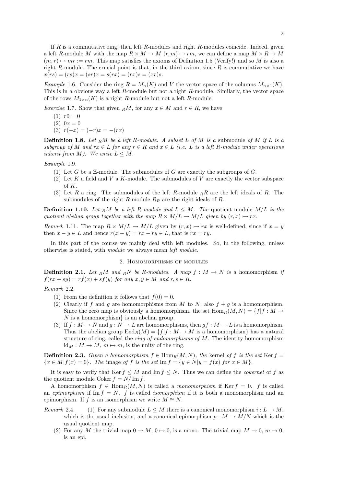If  $R$  is a commutative ring, then left  $R$ -modules and right  $R$ -modules coincide. Indeed, given a left R-module M with the map  $R \times M \to M$   $(r, m) \mapsto rm$ , we can define a map  $M \times R \to M$  $(m, r) \mapsto mr := rm$ . This map satisfies the axioms of Definition 1.5 (Verify!) and so M is also a right R-module. The crucial point is that, in the third axiom, since  $R$  is commutative we have  $x(rs) = (rs)x = (sr)x = s(rx) = (rx)s = (xr)s.$ 

Example 1.6. Consider the ring  $R = M_n(K)$  and V the vector space of the columns  $M_{n \times 1}(K)$ . This is in a obvious way a left R-module but not a right R-module. Similarly, the vector space of the rows  $M_{1\times n}(K)$  is a right R-module but not a left R-module.

Exercise 1.7. Show that given RM, for any  $x \in M$  and  $r \in R$ , we have

- $(1)$   $r0 = 0$
- $(2) 0x = 0$
- (3)  $r(-x) = (-r)x = -(rx)$

**Definition 1.8.** Let RM be a left R-module. A subset L of M is a submodule of M if L is a subgroup of M and  $rx \in L$  for any  $r \in R$  and  $x \in L$  (i.e. L is a left R-module under operations inherit from M). We write  $L \leq M$ .

Example 1.9.

- (1) Let G be a  $\mathbb{Z}$ -module. The submodules of G are exactly the subgroups of G.
- (2) Let  $K$  a field and  $V$  a  $K$ -module. The submodules of  $V$  are exactly the vector subspace of K.
- (3) Let R a ring. The submodules of the left R-module  $_R R$  are the left ideals of R. The submodules of the right R-module  $R_R$  are the right ideals of R.

**Definition 1.10.** Let RM be a left R-module and  $L \leq M$ . The quotient module  $M/L$  is the quotient abelian group together with the map  $R \times M/L \rightarrow M/L$  given by  $(r, \overline{x}) \mapsto \overline{rx}$ .

*Remark* 1.11. The map  $R \times M/L \rightarrow M/L$  given by  $(r, \overline{x}) \mapsto \overline{rx}$  is well-defined, since if  $\overline{x} = \overline{y}$ then  $x - y \in L$  and hence  $r(x - y) = rx - ry \in L$ , that is  $\overline{rx} = \overline{ry}$ .

In this part of the course we mainly deal with left modules. So, in the following, unless otherwise is stated, with module we always mean left module.

#### 2. Homomorphisms of modules

**Definition 2.1.** Let RM and RN be R-modules. A map  $f : M \to N$  is a homomorphism if  $f(rx+sy)=rf(x)+sf(y)$  for any  $x, y \in M$  and  $r, s \in R$ .

## Remark 2.2.

- (1) From the definition it follows that  $f(0) = 0$ .
- (2) Clearly if f and g are homomorphisms from M to N, also  $f + g$  is a homomorphism. Since the zero map is obviously a homomorphism, the set  $\text{Hom}_R(M, N) = \{f | f : M \rightarrow$  $N$  is a homomorphism $\}$  is an abelian group.
- (3) If  $f : M \to N$  and  $g : N \to L$  are homomorphisms, then  $gf : M \to L$  is a homomorphism. Thus the abelian group  $\text{End}_R(M) = \{f | f : M \to M \text{ is a homomorphism}\}\)$  has a natural structure of ring, called the *ring of endomorphisms of M*. The identity homomorphism  $id_M : M \to M$ ,  $m \mapsto m$ , is the unity of the ring.

**Definition 2.3.** Given a homomorphism  $f \in Hom_R(M, N)$ , the kernel of f is the set Ker f =  ${x \in M | f(x) = 0}.$  The image of f is the set Im  $f = {y \in N | y = f(x) \text{ for } x \in M}.$ 

It is easy to verify that Ker  $f \leq M$  and Im  $f \leq N$ . Thus we can define the *cokernel* of f as the quotient module Coker  $f = N/\operatorname{Im} f$ .

A homomorphism  $f \in \text{Hom}_R(M, N)$  is called a monomorphism if Ker  $f = 0$ . f is called an epimorphism if Im  $f = N$ . f is called *isomorphism* if it is both a monomorphism and an epimorphism. If f is an isomorphism we write  $M \cong N$ .

- Remark 2.4. (1) For any submodule  $L \leq M$  there is a canonical monomorphism  $i : L \to M$ . which is the usual inclusion, and a canonical epimorphism  $p : M \to M/N$  which is the usual quotient map.
	- (2) For any M the trivial map  $0 \to M$ ,  $0 \to 0$ , is a mono. The trivial map  $M \to 0$ ,  $m \mapsto 0$ , is an epi.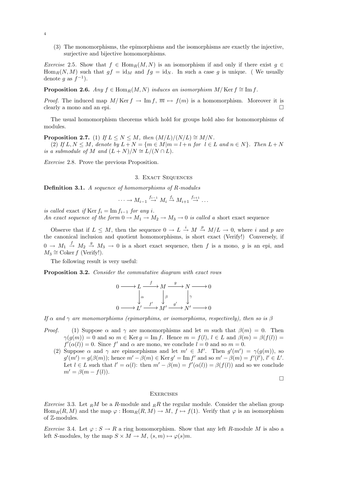(3) The monomorphisms, the epimorphisms and the isomorphisms are exactly the injective, surjective and bijective homomorphisms.

Exercise 2.5. Show that  $f \in \text{Hom}_R(M, N)$  is an isomorphism if and only if there exist  $g \in$  $\text{Hom}_R(N, M)$  such that  $gf = id_M$  and  $fg = id_N$ . In such a case g is unique. (We usually denote g as  $f^{-1}$ ).

**Proposition 2.6.** Any  $f \in \text{Hom}_R(M, N)$  induces an isomorphism  $M/\text{Ker } f \cong \text{Im } f$ .

*Proof.* The induced map  $M/\text{Ker } f \to \text{Im } f, \overline{m} \mapsto f(m)$  is a homomorphism. Moreover it is clearly a mono and an epi.  $\Box$ 

The usual homomorphism theorems which hold for groups hold also for homomorphisms of modules.

**Proposition 2.7.** (1) If  $L \leq N \leq M$ , then  $(M/L)/(N/L) \cong M/N$ .

(2) If  $L, N \leq M$ , denote by  $L + N = \{m \in M | m = l + n \text{ for } l \in L \text{ and } n \in N\}$ . Then  $L + N$ is a submodule of M and  $(L+N)/N \cong L/(N \cap L)$ .

Exercise 2.8. Prove the previous Proposition.

## 3. Exact Sequences

Definition 3.1. A sequence of homomorphisms of R-modules

$$
\cdots \longrightarrow M_{i-1} \stackrel{f_{i-1}}{\longrightarrow} M_i \stackrel{f_i}{\longrightarrow} M_{i+1} \stackrel{f_{i+1}}{\longrightarrow} \cdots
$$

is called exact if Ker  $f_i = \text{Im } f_{i-1}$  for any i. An exact sequence of the form  $0 \to M_1 \to M_2 \to M_3 \to 0$  is called a short exact sequence

Observe that if  $L \leq M$ , then the sequence  $0 \to L \stackrel{i}{\to} M \stackrel{p}{\to} M/L \to 0$ , where i and p are the canonical inclusion and quotient homomorphisms, is short exact (Verify!) Conversely, if  $0 \to M_1 \stackrel{f}{\to} M_2 \stackrel{g}{\to} M_3 \to 0$  is a short exact sequence, then f is a mono, g is an epi, and  $M_3 \cong \text{Coker } f \text{ (Verify!).}$ 

The following result is very useful:

Proposition 3.2. Consider the commutative diagram with exact rows

$$
0 \longrightarrow L \xrightarrow{f} M \xrightarrow{g} N \longrightarrow 0
$$

$$
\downarrow^{\alpha} \qquad \downarrow^{\beta} \qquad \downarrow^{\gamma}
$$

$$
0 \longrightarrow L' \xrightarrow{f'} M' \xrightarrow{g'} N' \longrightarrow 0
$$

If  $\alpha$  and  $\gamma$  are monomorphisms (epimorphims, or isomorphisms, respectively), then so is  $\beta$ 

- *Proof.* (1) Suppose  $\alpha$  and  $\gamma$  are monomorphisms and let m such that  $\beta(m) = 0$ . Then  $\gamma(g(m)) = 0$  and so  $m \in \text{Ker } g = \text{Im } f$ . Hence  $m = f(l)$ ,  $l \in L$  and  $\beta(m) = \beta(f(l)) =$  $f'(\alpha(l)) = 0$ . Since f' and  $\alpha$  are mono, we conclude  $l = 0$  and so  $m = 0$ .
	- (2) Suppose  $\alpha$  and  $\gamma$  are epimorphisms and let  $m' \in M'$ . Then  $g'(m') = \gamma(g(m))$ , so  $g'(m') = g(\beta(m))$ ; hence  $m' - \beta(m) \in \text{Ker } g' = \text{Im } f'$  and so  $m' - \beta(m) = f'(l')$ ,  $l' \in L'$ . Let  $l \in L$  such that  $l' = \alpha(l)$ : then  $m' - \beta(m) = f'(\alpha(l)) = \beta(f(l))$  and so we conclude  $m' = \beta(m - f(l)).$

 $\Box$ 

#### **EXERCISES**

*Exercise* 3.3. Let RM be a R-module and RR the regular module. Consider the abelian group  $\text{Hom}_R(R, M)$  and the map  $\varphi : \text{Hom}_R(R, M) \to M$ ,  $f \mapsto f(1)$ . Verify that  $\varphi$  is an isomorphism of Z-modules.

Exercise 3.4. Let  $\varphi : S \to R$  a ring homomorphism. Show that any left R-module M is also a left S-modules, by the map  $S \times M \to M$ ,  $(s, m) \mapsto \varphi(s)m$ .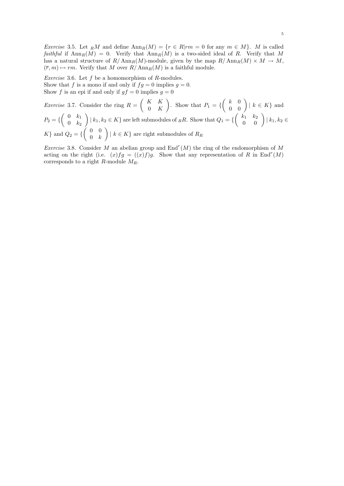Exercise 3.5. Let RM and define  $\text{Ann}_R(M) = \{r \in R | rm = 0 \text{ for any } m \in M\}$ . M is called faithful if  $\text{Ann}_R(M) = 0$ . Verify that  $\text{Ann}_R(M)$  is a two-sided ideal of R. Verify that M has a natural structure of  $R/\text{Ann}_R(M)$ -module, given by the map  $R/\text{Ann}_R(M) \times M \to M$ ,  $(\overline{r}, m) \mapsto rm$ . Verify that M over  $R/\text{Ann}_R(M)$  is a faithful module.

*Exercise* 3.6. Let  $f$  be a homomorphism of  $R$ -modules. Show that f is a mono if and only if  $fg = 0$  implies  $g = 0$ . Show f is an epi if and only if  $gf = 0$  implies  $g = 0$ 

*Exercise* 3.7. Consider the ring  $R = \begin{pmatrix} K & K \\ 0 & K \end{pmatrix}$  $0\quad K$ ). Show that  $P_1 = \left\{ \begin{pmatrix} k & 0 \\ 0 & 0 \end{pmatrix} | k \in K \right\}$  and  $P_2 = \{ \begin{pmatrix} 0 & k_1 \\ 0 & k_2 \end{pmatrix}$  $0 \t k_2$  $\binom{k_1}{k_1,k_2\in K}$  are left submodules of  $_RR$ . Show that  $Q_1 = \left\{ \begin{pmatrix} k_1 & k_2 \\ 0 & 0 \end{pmatrix} \middle| k_1, k_2 \in \mathbb{R} \right\}$  $K$ } and  $Q_2 = \{ \begin{pmatrix} 0 & 0 \\ 0 & h \end{pmatrix}$  $0 \quad k$  $\Big) \mid k \in K \}$  are right submodules of  $R_R$ 

*Exercise* 3.8. Consider M an abelian group and  $\text{End}^r(M)$  the ring of the endomorphism of M acting on the right (i.e.  $(x)fg = ((x)f)g$ . Show that any representation of R in End<sup>r</sup>(M) corresponds to a right R-module  $M_R$ .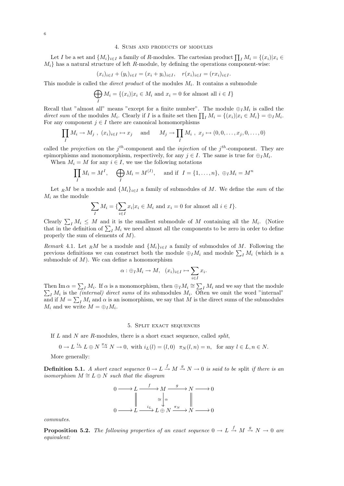#### 4. Sums and products of modules

Let I be a set and  $\{M_i\}_{i\in I}$  a family of R-modules. The cartesian product  $\prod_I M_i = \{(x_i)|x_i \in$  $M_i$  has a natural structure of left R-module, by defining the operations component-wise:

$$
(x_i)_{i \in I} + (y_i)_{i \in I} = (x_i + y_i)_{i \in I}, \quad r(x_i)_{i \in I} = (rx_i)_{i \in I}.
$$

This module is called the *direct product* of the modules  $M_i$ . It contains a submodule

$$
\bigoplus_{I} M_{i} = \{(x_{i}) | x_{i} \in M_{i} \text{ and } x_{i} = 0 \text{ for almost all } i \in I\}
$$

Recall that "almost all" means "except for a finite number". The module  $\bigoplus_I M_i$  is called the direct sum of the modules  $M_i$ . Clearly if I is a finite set then  $\prod_I M_i = \{(x_i)|x_i \in M_i\} = \bigoplus_I M_i$ . For any component  $j \in I$  there are canonical homomorphisms

$$
\prod_I M_i \to M_j, \ (x_i)_{i \in I} \mapsto x_j \quad \text{and} \quad M_j \to \prod_I M_i, \ x_j \mapsto (0, 0, \dots, x_j, 0, \dots, 0)
$$

called the *projection* on the  $j<sup>th</sup>$ -component and the *injection* of the  $j<sup>th</sup>$ -component. They are epimorphisms and monomorphism, respectively, for any  $j \in I$ . The same is true for  $\bigoplus_I M_i$ .

When  $M_i = M$  for any  $i \in I$ , we use the following notations

$$
\prod_I M_i = M^I, \quad \bigoplus_I M_i = M^{(I)}, \quad \text{and if} \quad I = \{1, \dots, n\}, \ \oplus_I M_i = M^n
$$

Let RM be a module and  $\{M_i\}_{i\in I}$  a family of submodules of M. We define the sum of the  $M_i$  as the module

$$
\sum_{I} M_i = \{ \sum_{i \in I} x_i | x_i \in M_i \text{ and } x_i = 0 \text{ for almost all } i \in I \}.
$$

Clearly  $\sum_{I} M_i \leq M$  and it is the smallest submodule of M containing all the  $M_i$ . (Notice that in the definition of  $\sum_{I} M_i$  we need almost all the components to be zero in order to define properly the sum of elements of M).

Remark 4.1. Let RM be a module and  $\{M_i\}_{i\in I}$  a family of submodules of M. Following the previous definitions we can construct both the module  $\bigoplus_I M_i$  and module  $\sum_I M_i$  (which is a submodule of  $M$ ). We can define a homomorphism

$$
\alpha: \oplus_I M_i \to M, \quad (x_i)_{i \in I} \mapsto \sum_{i \in I} x_i.
$$

Then Im  $\alpha = \sum_{I} M_i$ . If  $\alpha$  is a monomorphism, then  $\bigoplus_{I} M_i \cong \sum_{I} M_i$  and we say that the module  $\sum_{I} M_i$  is the *(internal) direct sums* of its submodules  $M_i$ . Often we omit the word "internal" and if  $M = \sum_{I} M_i$  and  $\alpha$  is an isomorphism, we say that M is the direct sums of the submodules  $M_i$  and we write  $M = \bigoplus_I M_i$ .

## 5. Split exact sequences

If  $L$  and  $N$  are  $R$ -modules, there is a short exact sequence, called *split*,

$$
0 \to L \stackrel{i_L}{\to} L \oplus N \stackrel{\pi_N}{\to} N \to 0, \text{ with } i_L(l) = (l, 0) \quad \pi_N(l, n) = n, \text{ for any } l \in L, n \in N.
$$

More generally:

**Definition 5.1.** A short exact sequence  $0 \to L \stackrel{f}{\to} M \stackrel{g}{\to} N \to 0$  is said to be split if there is an isomorphism  $M \cong L \oplus N$  such that the diagram

$$
0 \longrightarrow L \xrightarrow{f} M \xrightarrow{g} N \longrightarrow 0
$$

$$
\parallel \xrightarrow{\cong} \downarrow^{\alpha} \parallel
$$

$$
0 \longrightarrow L \xrightarrow{i_L} L \oplus N \xrightarrow{\pi_N} N \longrightarrow 0
$$

commutes.

**Proposition 5.2.** The following properties of an exact sequence  $0 \to L \stackrel{f}{\to} M \stackrel{g}{\to} N \to 0$  are equivalent: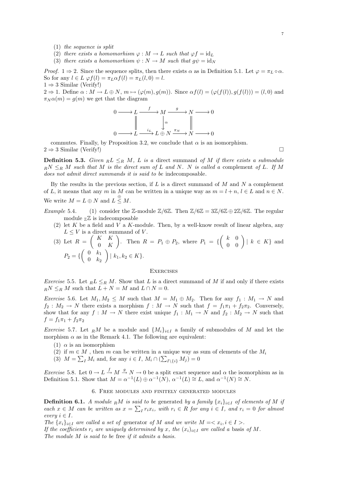- (1) the sequence is split
- (2) there exists a homomorhism  $\varphi : M \to L$  such that  $\varphi f = id_L$
- (3) there exists a homomorhism  $\psi : N \to M$  such that  $q\psi = id_N$

*Proof.* 1  $\Rightarrow$  2. Since the sequence splits, then there exists  $\alpha$  as in Definition 5.1. Let  $\varphi = \pi_L \circ \alpha$ . So for any  $l \in L \varphi f(l) = \pi_L \alpha f(l) = \pi_L(l, 0) = l$ .  $1 \Rightarrow 3$  Similar (Verify!)

 $2 \Rightarrow 1$ . Define  $\alpha : M \to L \oplus N$ ,  $m \mapsto (\varphi(m), g(m))$ . Since  $\alpha f(l) = (\varphi(f(l)), g(f(l))) = (l, 0)$  and  $\pi_N \alpha(m) = q(m)$  we get that the diagram

$$
0 \longrightarrow L \xrightarrow{f} M \xrightarrow{g} N \longrightarrow 0
$$
  
\n
$$
\downarrow \alpha \qquad \qquad \downarrow \alpha
$$
  
\n
$$
0 \longrightarrow L \xrightarrow{i_L} L \oplus N \xrightarrow{\pi_N} N \longrightarrow 0
$$

commutes. Finally, by Proposition 3.2, we conclude that  $\alpha$  is an isomorphism.  $2 \Rightarrow 3$  Similar (Verify!)

**Definition 5.3.** Given  $nL \leq_R M$ , L is a direct summand of M if there exists a submodule  $\mathbb{R}^N \leq_{\mathbb{R}} M$  such that M is the direct sum of L and N. N is called a complement of L. If M does not admit direct summands it is said to be indecomposable.

By the results in the previous section, if  $L$  is a direct summand of  $M$  and  $N$  a complement of L, it means that any m in M can be written in a unique way as  $m = l + n$ ,  $l \in L$  and  $n \in N$ . We write  $M = L \oplus N$  and  $L \stackrel{\oplus}{\leq} M$ .

- Example 5.4. (1) consider the Z-module  $\mathbb{Z}/6\mathbb{Z}$ . Then  $\mathbb{Z}/6\mathbb{Z} = 3\mathbb{Z}/6\mathbb{Z} \oplus 2\mathbb{Z}/6\mathbb{Z}$ . The regular module  $Z\overline{Z}$  is indecomposable
	- (2) let K be a field and V a K-module. Then, by a well-know result of linear algebra, any  $L \leq V$  is a direct summand of V.

(3) Let 
$$
R = \begin{pmatrix} K & K \\ 0 & K \end{pmatrix}
$$
. Then  $R = P_1 \oplus P_2$ , where  $P_1 = \left\{ \begin{pmatrix} k & 0 \\ 0 & 0 \end{pmatrix} | k \in K \right\}$  and  $P_2 = \left\{ \begin{pmatrix} 0 & k_1 \\ 0 & k_2 \end{pmatrix} | k_1, k_2 \in K \right\}$ .

#### **EXERCISES**

Exercise 5.5. Let  $_R L \leq_R M$ . Show that L is a direct summand of M if and only if there exists  $_RN\leq_R M$  such that  $L+N=M$  and  $L\cap N=0$ .

Exercise 5.6. Let  $M_1, M_2 \leq M$  such that  $M = M_1 \oplus M_2$ . Then for any  $f_1 : M_1 \to N$  and  $f_2: M_2 \to N$  there exists a morphism  $f: M \to N$  such that  $f = f_1 \pi_1 + f_2 \pi_2$ . Conversely, show that for any  $f : M \to N$  there exist unique  $f_1 : M_1 \to N$  and  $f_2 : M_2 \to N$  such that  $f = f_1 \pi_1 + f_2 \pi_2$ 

*Exercise* 5.7. Let RM be a module and  $\{M_i\}_{i\in I}$  a family of submodules of M and let the morphism  $\alpha$  as in the Remark 4.1. The following are equivalent:

- (1)  $\alpha$  is an isomorphism
- (2) if  $m \in M$ , then m can be written in a unique way as sum of elements of the  $M_i$
- (3)  $M = \sum_{I} M_i$  and, for any  $i \in I$ ,  $M_i \cap (\sum_{I \setminus \{i\}} M_j) = 0$

*Exercise* 5.8. Let  $0 \to L \xrightarrow{f} M \xrightarrow{g} N \to 0$  be a split exact sequence and  $\alpha$  the isomorphism as in Definition 5.1. Show that  $M = \alpha^{-1}(L) \oplus \alpha^{-1}(N)$ ,  $\alpha^{-1}(L) \cong L$ , and  $\alpha^{-1}(N) \cong N$ .

#### 6. Free modules and finitely generated modules

**Definition 6.1.** A module RM is said to be generated by a family  $\{x_i\}_{i\in I}$  of elements of M if each  $x \in M$  can be written as  $x = \sum_{I} r_i x_i$ , with  $r_i \in R$  for any  $i \in I$ , and  $r_i = 0$  for almost every  $i \in I$ .

The  $\{x_i\}_{i\in I}$  are called a set of generator of M and we write  $M = \langle x_i, i \in I \rangle$ .

If the coefficients  $r_i$  are uniquely determined by x, the  $(x_i)_{i\in I}$  are called a basis of M.

The module M is said to be free if it admits a basis.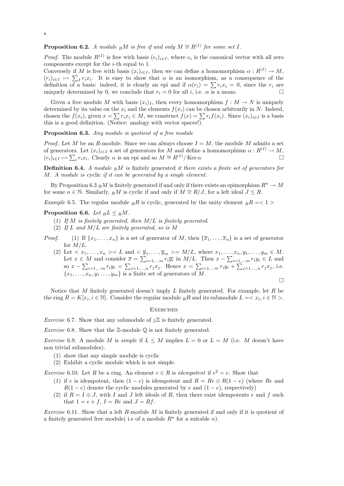# **Proposition 6.2.** A module  $\mathbb{R}M$  is free if and only  $M \cong \mathbb{R}^{(1)}$  for some set I.

*Proof.* The module  $R^{(I)}$  is free with basis  $(e_i)_{i \in I}$ , where  $e_i$  is the canonical vector with all zero components except for the i-th equal to 1.

Conversely if M is free with basis  $(x_i)_{i\in I}$ , then we can define a homomorphism  $\alpha: R^{(I)} \to M$ ,  $(r_i)_{i\in I} \mapsto \sum_I r_i x_i$ . It is easy to show that  $\alpha$  is an isomorphism, as a consequence of the definition of a basis: indeed, it is clearly an epi and if  $\alpha(r_i) = \sum r_i x_i = 0$ , since the  $r_i$  are uniquely determined by 0, we conclude that  $r_i = 0$  for all i, i.e.  $\alpha$  is a mono.

Given a free module M with basis  $(x_i)_I$ , then every homomorphism  $f : M \to N$  is uniquely determined by its value on the  $x_i$  and the elements  $f(x_i)$  can be chosen arbitrarily in N. Indeed, chosen the  $f(x_i)$ , given  $x = \sum r_i x_i \in M$ , we construct  $f(x) = \sum r_i f(x_i)$ . Since  $(x_i)_{i \in I}$  is a basis this is a good definition. (Notice: analogy with vector spaces!).

Proposition 6.3. Any module is quotient of a free module

*Proof.* Let M be an R-module. Since we can always choose  $I = M$ , the module M admits a set of generators. Let  $(x_i)_{i\in I}$  a set of generators for M and define a homomorphism  $\alpha: R^{(I)} \to M$ ,  $(r_i)_{i\in I} \mapsto \sum_i r_i x_i$ . Clearly  $\alpha$  is an epi and so  $M \cong R^{(I)} / \text{Ker }\alpha$ 

**Definition 6.4.** A module  $_R M$  is finitely generated it there exists a finite set of generators for M. A module is cyclic if it can be generated by a single element.

By Proposition 6.3 RM is finitely generated if and only if there exists an epimorphism  $R^n \to M$ for some  $n \in \mathbb{N}$ . Similarly,  $\overline{R}M$  is cyclic if and only if  $M \cong R/J$ , for a left ideal  $J \leq R$ .

*Example* 6.5. The regular module RR is cyclic, generated by the unity element  $_RR = \langle 1 \rangle$ 

### Proposition 6.6. Let  $_R L \leq_R M$ .

- (1) If M is finitely generated, then  $M/L$  is finitely generated.
- (2) If L and  $M/L$  are finitely generated, so is M
- *Proof.* (1) If  $\{x_1, \ldots, x_n\}$  is a set of generator of M, then  $\{\overline{x}_1, \ldots, \overline{x}_n\}$  is a set of generator for  $M/L$ .
	- (2) Let  $\langle x_1,\ldots,x_n\rangle=L$  and  $\langle \overline{y}_1,\ldots,\overline{y}_m\rangle=M/L$ , where  $x_1,\ldots,x_n,y_1,\ldots,y_m\in M$ . Let  $x \in M$  and consider  $\overline{x} = \sum_{i=1,...m} r_i \overline{y_i}$  in  $M/L$ . Then  $x - \sum_{i=1,...m} r_i y_i \in L$  and so  $x - \sum_{i=1,...m} r_i y_i = \sum_{j=1,...,n} r_j x_j$ . Hence  $x = \sum_{i=1,...m} r_i y_i + \sum_{j=1,...,n} r_j x_j$ , i.e.  ${x_1, \ldots, x_n, y_1 \ldots, y_m}$  is a finite set of generators of M.

 $\Box$ 

Notice that M finitely generated doesn't imply  $L$  finitely generated. For example, let  $R$  be the ring  $R = K[x_i, i \in \mathbb{N}]$ . Consider the regular module  $_R R$  and its submodule  $L = \langle x_i, i \in \mathbb{N} \rangle$ .

#### **EXERCISES**

*Exercise* 6.7. Show that any submodule of  $\mathbb{Z}$  is finitely generated.

*Exercise* 6.8. Show that the  $\mathbb{Z}$ -module  $\mathbb{Q}$  is not finitely generated.

Exercise 6.9. A module M is simple if  $L \leq M$  implies  $L = 0$  or  $L = M$  (i.e. M doesn't have non trivial submodules).

- (1) show that any simple module is cyclic
- (2) Exhibit a cyclic module which is not simple.

*Exercise* 6.10. Let R be a ring. An element  $e \in R$  is *idempotent* if  $e^2 = e$ . Show that

- (1) if e is idempotent, then  $(1-e)$  is idempotent and  $R = Re \oplus R(1-e)$  (where Re and  $R(1 - e)$  denote the cyclic modules generated by e and  $(1 - e)$ , respectively)
- (2) if  $R = I \oplus J$ , with I and J left ideals of R, then there exist idempotents e and f such that  $1 = e + f$ ,  $I = Re$  and  $J = Rf$ .

*Exercise* 6.11. Show that a left R-module M is finitely generated if and only if it is quotient of a finitely generated free module (i.e of a module  $R<sup>n</sup>$  for a suitable n).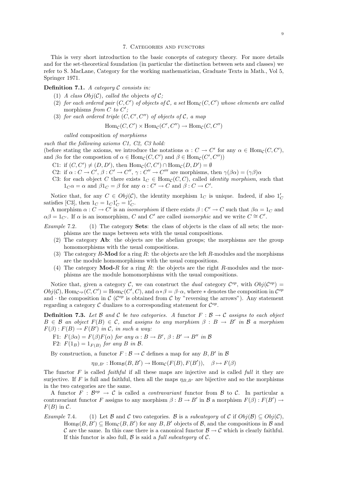#### 7. Categories and functors

This is very short introduction to the basic concepts of category theory. For more details and for the set-theoretical foundation (in particular the distinction between sets and classes) we refer to S. MacLane, Category for the working mathematician, Graduate Texts in Math., Vol 5, Springer 1971.

**Definition 7.1.** A category  $C$  consists in:

- (1) A class  $Obj(\mathcal{C})$ , called the objects of  $\mathcal{C}$ ;
- (2) for each ordered pair  $(C, C')$  of objects of C, a set  $\text{Hom}_{\mathcal{C}}(C, C')$  whose elements are called morphisms from C to  $C'$ ;
- (3) for each ordered triple  $(C, C', C'')$  of objects of  $\mathcal{C}$ , a map

$$
Hom_{\mathcal{C}}(C, C') \times Hom_{\mathcal{C}}(C', C'') \to Hom_{\mathcal{C}}(C, C'')
$$

called composition of morphisms

such that the following axioms C1, C2, C3 hold:

(before stating the axioms, we introduce the notations  $\alpha: C \to C'$  for any  $\alpha \in \text{Hom}_{\mathcal{C}}(C, C'),$ and  $\beta\alpha$  for the compostion of  $\alpha \in \text{Hom}_{\mathcal{C}}(C, C')$  and  $\beta \in \text{Hom}_{\mathcal{C}}(C', C'')$ )

- C1: if  $(C, C') \neq (D, D')$ , then  $\text{Hom}_{\mathcal{C}}(C, C') \cap \text{Hom}_{\mathcal{C}}(D, D') = \emptyset$
- C2: if  $\alpha: C \to C', \beta: C' \to C'', \gamma: C'' \to C'''$  are morphisms, then  $\gamma(\beta \alpha) = (\gamma \beta) \alpha$
- C3: for each object C there exists  $1_C \in \text{Hom}_{\mathcal{C}}(C, C)$ , called *identity morphism*, such that  $1_C \alpha = \alpha$  and  $\beta 1_C = \beta$  for any  $\alpha : C' \to C$  and  $\beta : C \to C'$ .

Notice that, for any  $C \in Obj(\mathcal{C})$ , the identity morphism  $1_C$  is unique. Indeed, if also  $1'_C$ satisfies [C3], then  $1_C = 1_C 1'_C = 1'_C$ .

A morphism  $\alpha: C \to C'$  is an *isomorphism* if there exists  $\beta: C' \to C$  such that  $\beta \alpha = 1_C$  and  $\alpha\beta = 1_{C'}$ . If  $\alpha$  is an isomorphism, C and C' are called *isomorphic* and we write  $C \cong C'$ .

Example 7.2.  $(1)$  The category **Sets**: the class of objects is the class of all sets; the morphisms are the maps between sets with the usual compositions.

- (2) The category Ab: the objects are the abelian groups; the morphisms are the group homomorphisms with the usual compositions.
- (3) The category  $R\text{-Mod}$  for a ring  $R$ : the objects are the left  $R\text{-modules}$  and the morphisms are the module homomorphisms with the usual compositions.
- (4) The category  $\text{Mod-}R$  for a ring R: the objects are the right R-modules and the morphisms are the module homomorphisms with the usual compositions.

Notice that, given a category C, we can construct the dual category  $\mathcal{C}^{op}$ , with  $Obj(\mathcal{C}^{op}) =$  $Obj(\mathcal{C}), \text{Hom}_{\mathcal{C}^{op}}(C, C') = \text{Hom}_{\mathcal{C}}(C', C), \text{ and } \alpha * \beta = \beta \cdot \alpha, \text{ where } * \text{ denotes the composition in } \mathcal{C}^{op}$ and  $\cdot$  the composition in  $\mathcal{C}$  ( $\mathcal{C}^{op}$  is obtained from  $\mathcal{C}$  by "reversing the arrows"). Any statement regarding a category  $\mathcal C$  dualizes to a corresponding statement for  $\mathcal C^{op}$ .

**Definition 7.3.** Let B and C be two categories. A functor  $F : \mathcal{B} \to \mathcal{C}$  assigns to each object  $B \in \mathcal{B}$  an object  $F(B) \in \mathcal{C}$ , and assigns to any morphism  $\beta : B \to B'$  in  $\mathcal{B}$  a morphism  $F(\beta): F(B) \to F(B')$  in C, in such a way:

- F1:  $F(\beta \alpha) = F(\beta)F(\alpha)$  for any  $\alpha : B \to B'$ ,  $\beta : B' \to B''$  in B
- F2:  $F(1_B) = 1_{F(B)}$  for any B in B.

By construction, a functor  $F : \mathcal{B} \to \mathcal{C}$  defines a map for any  $B, B'$  in  $\mathcal{B}$ 

 $\eta_{B,B'} : \text{Hom}_{\mathcal{B}}(B, B') \to \text{Hom}_{\mathcal{C}}(F(B), F(B')), \quad \beta \mapsto F(\beta)$ 

The functor  $F$  is called *faithful* if all these maps are injective and is called *full* it they are surjective. If F is full and faithful, then all the maps  $\eta_{B,B'}$  are bijective and so the morphisms in the two categories are the same.

A functor  $F : \mathcal{B}^{op} \to \mathcal{C}$  is called a *contravariant* functor from  $\mathcal{B}$  to  $\mathcal{C}$ . In particular a contravariant functor F assigns to any morphism  $\beta : B \to B'$  in B a morphism  $F(\beta) : F(B') \to$  $F(B)$  in C.

Example 7.4. (1) Let B and C two categories. B is a subcategory of C if  $Obj(\mathcal{B}) \subseteq Obj(\mathcal{C})$ ,  $\text{Hom}_{\mathcal{B}}(B, B') \subseteq \text{Hom}_{\mathcal{C}}(B, B')$  for any  $B, B'$  objects of  $\mathcal{B}$ , and the compositions in  $\mathcal{B}$  and C are the same. In this case there is a canonical functor  $\mathcal{B} \to \mathcal{C}$  which is clearly faithful. If this functor is also full,  $\beta$  is said a *full subcategory* of  $\mathcal{C}$ .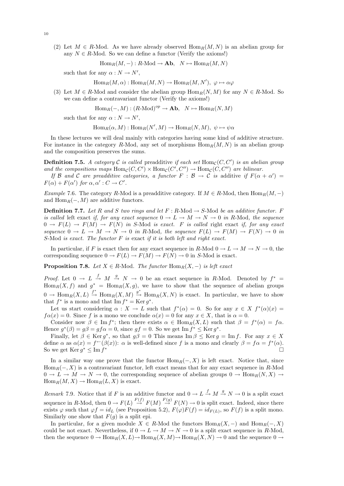(2) Let  $M \in R$ -Mod. As we have already observed  $\text{Hom}_R(M, N)$  is an abelian group for any  $N \in R$ -Mod. So we can define a functor (Verify the axioms!)

$$
\operatorname{Hom}_R(M,-): R\text{-Mod} \to \mathbf{Ab}, \quad N \mapsto \operatorname{Hom}_R(M,N)
$$

such that for any  $\alpha : N \to N'$ ,

$$
\operatorname{Hom}_R(M,\alpha): \operatorname{Hom}_R(M,N) \to \operatorname{Hom}_R(M,N'), \; \varphi \mapsto \alpha \varphi
$$

(3) Let  $M \in R$ -Mod and consider the abelian group  $\text{Hom}_R(N, M)$  for any  $N \in R$ -Mod. So we can define a contravariant functor (Verify the axioms!)

$$
\operatorname{Hom}_R(-,M) : (R\text{-Mod})^{op} \to \mathbf{Ab}, \quad N \mapsto \operatorname{Hom}_R(N,M)
$$

such that for any  $\alpha : N \to N'$ ,

 $\text{Hom}_R(\alpha, M) : \text{Hom}_R(N', M) \to \text{Hom}_R(N, M), \ \psi \mapsto \psi \alpha$ 

In these lectures we will deal mainly with categories having some kind of additive structure. For instance in the category R-Mod, any set of morphisms  $\text{Hom}_R(M, N)$  is an abelian group and the composition preserves the sums.

**Definition 7.5.** A category C is called preadditive if each set  $Hom_{\mathcal{C}}(C, C')$  is an abelian group and the compositions maps  $\text{Hom}_{\mathcal{C}}(C, C') \times \text{Hom}_{\mathcal{C}}(C', C'') \to \text{Hom}_{\mathcal{C}}(C, C'')$  are bilinear.

If B and C are preadditive categories, a functor  $F : B \to C$  is additive if  $F(\alpha + \alpha') =$  $F(\alpha) + F(\alpha')$  for  $\alpha, \alpha' : C \to C'$ .

Example 7.6. The category R-Mod is a preadditive category. If  $M \in R$ -Mod, then  $\text{Hom}_R(M, -)$ and  $\text{Hom}_R(-, M)$  are additive functors.

**Definition 7.7.** Let R and S two rings and let F : R-Mod  $\rightarrow$  S-Mod be an additive functor. F is called left exact if, for any exact sequence  $0 \to L \to M \to N \to 0$  in R-Mod, the sequence  $0 \to F(L) \to F(M) \to F(N)$  in S-Mod is exact. F is called right exact if, for any exact sequence  $0 \to L \to M \to N \to 0$  in R-Mod, the sequence  $F(L) \to F(M) \to F(N) \to 0$  in S-Mod is exact. The functor  $F$  is exact if it is both left and right exact.

In particular, if F is exact then for any exact sequence in R-Mod  $0 \to L \to M \to N \to 0$ , the corresponding sequence  $0 \to F(L) \to F(M) \to F(N) \to 0$  in S-Mod is exact.

**Proposition 7.8.** Let  $X \in R$ -Mod. The functor  $\text{Hom}_R(X, -)$  is left exact

*Proof.* Let  $0 \to L \stackrel{f}{\to} M \stackrel{g}{\to} N \to 0$  be an exact sequence in R-Mod. Denoted by  $f^* =$  $\text{Hom}_R(X, f)$  and  $g^* = \text{Hom}_R(X, g)$ , we have to show that the sequence of abelian groups  $0 \to \text{Hom}_R(X, L) \stackrel{f^*}{\to} \text{Hom}_R(X, M) \stackrel{g^*}{\to} \text{Hom}_R(X, N)$  is exact. In particular, we have to show that  $f^*$  is a mono and that  $\text{Im } f^* = \text{Ker } g^*$ .

Let us start considering  $\alpha : X \to L$  such that  $f^*(\alpha) = 0$ . So for any  $x \in X$   $f^*(\alpha)(x) =$  $f\alpha(x) = 0$ . Since f is a mono we conclude  $\alpha(x) = 0$  for any  $x \in X$ , that is  $\alpha = 0$ .

Consider now  $\beta \in \text{Im } f^*$ ; then there exists  $\alpha \in \text{Hom}_R(X, L)$  such that  $\beta = f^*(\alpha) = f\alpha$ . Hence  $g^*(\beta) = g\beta = gf\alpha = 0$ , since  $gf = 0$ . So we get Im  $f^* \leq \text{Ker } g^*$ .

Finally, let  $\beta \in \text{Ker } g^*$ , so that  $g\beta = 0$  This means  $\text{Im } \beta \leq \text{Ker } g = \text{Im } f$ . For any  $x \in X$ define  $\alpha$  as  $\alpha(x) = f^{\leftarrow}(\beta(x))$ :  $\alpha$  is well-defined since f is a mono and clearly  $\beta = f\alpha = f^{\ast}(\alpha)$ . So we get  $\text{Ker } g^* \leq \text{Im } f$ <sup>∗</sup>

In a similar way one prove that the functor  $\text{Hom}_R(-, X)$  is left exact. Notice that, since  $\text{Hom}_R(-, X)$  is a contravariant functor, left exact means that for any exact sequence in R-Mod  $0 \to L \to M \to N \to 0$ , the corresponding sequence of abelian groups  $0 \to \text{Hom}_R(N, X) \to$  $Hom_R(M, X) \to Hom_R(L, X)$  is exact.

Remark 7.9. Notice that if F is an additive functor and  $0 \to L \stackrel{f}{\to} M \stackrel{g}{\to} N \to 0$  is a split exact sequence in R-Mod, then  $0 \to F(L) \stackrel{F(f)}{\to} F(M) \stackrel{F(g)}{\to} F(N) \to 0$  is split exact. Indeed, since there exists  $\varphi$  such that  $\varphi f = id_L$  (see Proposition 5.2),  $F(\varphi)F(f) = id_{F(L)}$ , so  $F(f)$  is a split mono. Similarly one show that  $F(g)$  is a split epi.

In particular, for a given module  $X \in R$ -Mod the functors  $\text{Hom}_{R}(X, -)$  and  $\text{Hom}_{R}(-, X)$ could be not exact. Nevertheless, if  $0 \to L \to M \to N \to 0$  is a split exact sequence in R-Mod, then the sequence  $0 \to \text{Hom}_R(X, L) \to \text{Hom}_R(X, M) \to \text{Hom}_R(X, N) \to 0$  and the sequence  $0 \to$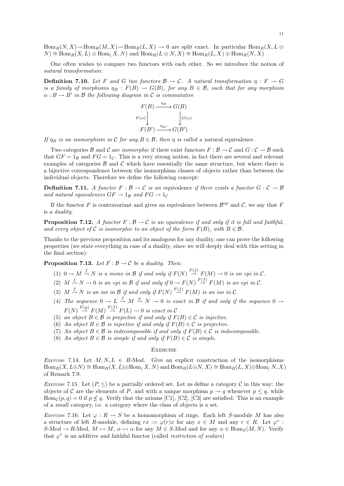$\text{Hom}_R(N, X) \to \text{Hom}_R(M, X) \to \text{Hom}_R(L, X) \to 0$  are split exact. In particular  $\text{Hom}_R(X, L \oplus$  $N) \cong \text{Hom}_R(X, L) \oplus \text{Hom}_L(X, N)$  and  $\text{Hom}_R(L \oplus N, X) \cong \text{Hom}_R(L, X) \oplus \text{Hom}_R(N, X)$ 

One often wishes to compare two functors with each other. So we introduce the notion of natural transformation:

**Definition 7.10.** Let F and G two functors  $\mathcal{B} \to \mathcal{C}$ . A natural transformation  $\eta : F \to G$ is a family of morphisms  $\eta_B : F(B) \to G(B)$ , for any  $B \in \mathcal{B}$ , such that for any morphism  $\alpha: B \to B'$  in B the following diagram in C is commutative

$$
F(B) \xrightarrow{\eta_B} G(B)
$$
  

$$
F(\alpha) \downarrow \qquad \qquad G(\alpha)
$$
  

$$
F(B') \xrightarrow{\eta_{B'}} G(B')
$$

If  $\eta_B$  is an isomorphism in C for any  $B \in \mathcal{B}$ , then  $\eta$  is called a natural equivalence.

Two categories  $\mathcal B$  and  $\mathcal C$  are *isomorphic* if there exist functors  $F : \mathcal B \to \mathcal C$  and  $G : \mathcal C \to \mathcal B$  such that  $GF = 1_B$  and  $FG = 1_C$ . This is a very strong notion, in fact there are several and relevant examples of categories  $\beta$  and  $\beta$  which have essentially the same structure, but where there is a bijective correspondence between the isomorphism classes of objects rather than between the individual objects. Therefore we define the following concept:

**Definition 7.11.** A functor  $F : \mathcal{B} \to \mathcal{C}$  is an equivalence if there exists a functor  $G : \mathcal{C} \to \mathcal{B}$ and natural equivalences  $GF \rightarrow 1_B$  and  $FG \rightarrow 1_C$ 

If the functor F is contravariant and gives an equivalence between  $\mathcal{B}^{op}$  and C, we say that F is a duality.

**Proposition 7.12.** A functor  $F : \mathcal{B} \to \mathcal{C}$  is an equivalence if and only if it is full and faithful, and every object of C is isomorphic to an object of the form  $F(B)$ , with  $B \in \mathcal{B}$ .

Thanks to the previous proposition and its analogous for any duality, one can prove the following properties (we state everything in case of a duality, since we will deeply deal with this setting in the final section):

**Proposition 7.13.** Let  $F : \mathcal{B} \to \mathcal{C}$  be a duality. Then:

- (1)  $0 \to M \stackrel{f}{\to} N$  is a mono in B if and only if  $F(N) \stackrel{F(f)}{\to} F(M) \to 0$  is an epi in C.
- (2)  $M \stackrel{f}{\rightarrow} N \rightarrow 0$  is an epi in B if and only if  $0 \rightarrow F(N) \stackrel{F(f)}{\rightarrow} F(M)$  is an epi in C.
- (3)  $M \stackrel{f}{\rightarrow} N$  is an iso in  $\mathcal B$  if and only if  $F(N) \stackrel{F(f)}{\rightarrow} F(M)$  is an iso in  $\mathcal C$ .
- (4) The sequence  $0 \to L \stackrel{f}{\to} M \stackrel{g}{\to} N \to 0$  is exact in B if and only if the sequence  $0 \to$  $F(N) \stackrel{F(g)}{\rightarrow} F(M) \stackrel{F(f)}{\rightarrow} F(L) \rightarrow 0$  is exact in C
- (5) an object  $B \in \mathcal{B}$  is projective if and only if  $F(B) \in \mathcal{C}$  is injective.
- (6) An object  $B \in \mathcal{B}$  is injective if and only if  $F(B) \in \mathcal{C}$  is projective.
- (7) An object  $B \in \mathcal{B}$  is indecomposable if and only if  $F(B) \in \mathcal{C}$  is indecomposable.
- (8) An object  $B \in \mathcal{B}$  is simple if and only if  $F(B) \in \mathcal{C}$  is simple.

#### **EXERCISE**

Exercise 7.14. Let  $M, N, L \in R$ -Mod. Give an explicit construction of the isomorphisms  $\text{Hom}_R(X, L\oplus N) \cong \text{Hom}_R(X, L) \oplus \text{Hom}_R(X, N)$  and  $\text{Hom}_R(L\oplus N, X) \cong \text{Hom}_R(L, X) \oplus \text{Hom}_R(N, X)$ of Remark 7.9.

*Exercise* 7.15. Let  $(P, \leq)$  be a partially ordered set. Let us define a category C in this way: the objects of C are the elements of P, and with a unique morphism  $p \to q$  whenever  $p \leq q$ , while  $\text{Hom}_{\mathcal{C}}(p,q) = 0$  if  $p \nleq q$ . Verify that the axioms [C1], [C2], [C3] are satisfied. This is an example of a small category, i.e. a category where the class of objects is a set.

Exercise 7.16. Let  $\varphi: R \to S$  be a homomorphism of rings. Each left S-module M has also a structure of left R-module, defining  $rx := \varphi(r)x$  for any  $x \in M$  and any  $r \in R$ . Let  $\varphi^*$ :  $S\text{-Mod} \to R\text{-Mod}, M \mapsto M, \alpha \mapsto \alpha$  for any  $M \in S\text{-Mod}$  and for any  $\alpha \in \text{Hom}_S(M, N)$ . Verify that  $\varphi^*$  is an additive and faithful functor (called *restriction of scalars*)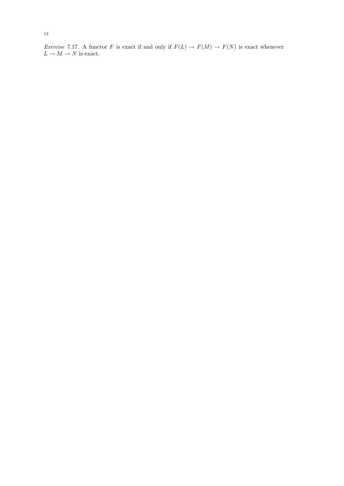Exercise 7.17. A functor F is exact if and only if  $F(L) \to F(M) \to F(N)$  is exact whenever  $L \to M \to N$  is exact.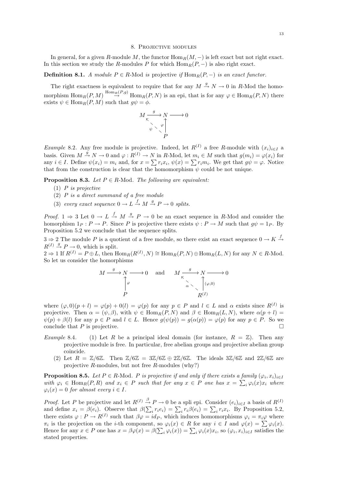#### 8. Projective modules

In general, for a given R-module M, the functor  $\text{Hom}_R(M, -)$  is left exact but not right exact. In this section we study the R-modules P for which  $\text{Hom}_R(P, -)$  is also right exact.

## **Definition 8.1.** A module  $P \in R$ -Mod is projective if  $\text{Hom}_R(P, -)$  is an exact functor.

The right exactness is equivalent to require that for any  $M \stackrel{g}{\rightarrow} N \rightarrow 0$  in R-Mod the homomorphism  $\text{Hom}_R(P,M) \stackrel{\text{Hom}_R(P,g)}{\to} \text{Hom}_R(P,N)$  is an epi, that is for any  $\varphi \in \text{Hom}_R(P,N)$  there exists  $\psi \in \text{Hom}_R(P, M)$  such that  $g\psi = \phi$ .

$$
M \xrightarrow[\times]{g} N \longrightarrow 0
$$
  
\n
$$
\downarrow^{\vee} \searrow \varphi
$$
  
\n
$$
P
$$

Example 8.2. Any free module is projective. Indeed, let  $R^{(I)}$  a free R-module with  $(x_i)_{i\in I}$  a basis. Given  $M \stackrel{g}{\rightarrow} N \rightarrow 0$  and  $\varphi : R^{(1)} \rightarrow N$  in R-Mod, let  $m_i \in M$  such that  $g(m_i) = \varphi(x_i)$  for any  $i \in I$ . Define  $\psi(x_i) = m_i$  and, for  $x = \sum r_i x_i$ ,  $\psi(x) = \sum r_i m_i$ . We get that  $g\psi = \varphi$ . Notice that from the construction is clear that the homomorphism  $\psi$  could be not unique.

**Proposition 8.3.** Let  $P \in R$ -Mod. The following are equivalent:

- $(1)$  P is projective
- (2) P is a direct summand of a free module
- (3) every exact sequence  $0 \to L \xrightarrow{f} M \xrightarrow{g} P \to 0$  splits.

*Proof.* 1  $\Rightarrow$  3 Let  $0 \to L \stackrel{f}{\to} M \stackrel{g}{\to} P \to 0$  be an exact sequence in R-Mod and consider the homorphism  $1_P : P \to P$ . Since P is projective there exists  $\psi : P \to M$  such that  $q\psi = 1_P$ . By Proposition 5.2 we conclude that the sequence splits.

 $3 \Rightarrow 2$  The module P is a quotient of a free module, so there exist an exact sequence  $0 \to K \stackrel{f}{\to}$  $R^{(I)} \stackrel{g}{\rightarrow} P \rightarrow 0$ , which is split.

 $2 \Rightarrow 1$  If  $R^{(I)} = P \oplus L$ , then  $\text{Hom}_R(R^{(I)}, N) \cong \text{Hom}_R(P, N) \oplus \text{Hom}_R(L, N)$  for any  $N \in R$ -Mod. So let us consider the homorphisms

$$
M \xrightarrow{g} N \longrightarrow 0 \quad \text{and} \quad M \xrightarrow{\sigma} N \longrightarrow 0
$$
  
\n
$$
\uparrow \varphi
$$
  
\n
$$
\uparrow \varphi
$$
  
\n
$$
\uparrow \varphi
$$
  
\n
$$
\uparrow \varphi
$$
  
\n
$$
\uparrow \varphi
$$
  
\n
$$
\uparrow \varphi
$$
  
\n
$$
\uparrow \varphi
$$
  
\n
$$
\uparrow \varphi
$$
  
\n
$$
\uparrow \varphi
$$
  
\n
$$
\uparrow \varphi
$$
  
\n
$$
\uparrow \varphi
$$
  
\n
$$
R^{(I)}
$$

where  $(\varphi, 0)(p + l) = \varphi(p) + 0(l) = \varphi(p)$  for any  $p \in P$  and  $l \in L$  and  $\alpha$  exists since  $R^{(I)}$  is projective. Then  $\alpha = (\psi, \beta)$ , with  $\psi \in \text{Hom}_{R}(P, N)$  and  $\beta \in \text{Hom}_{R}(L, N)$ , where  $\alpha(p+l)$  $\psi(p) + \beta(l)$  for any  $p \in P$  and  $l \in L$ . Hence  $g(\psi(p)) = g(\alpha(p)) = \varphi(p)$  for any  $p \in P$ . So we conclude that  $P$  is projective.

- Example 8.4. (1) Let R be a principal ideal domain (for instance,  $R = \mathbb{Z}$ ). Then any projective module is free. In particular, free abelian groups and projective abelian group coincide.
	- (2) Let  $R = \mathbb{Z}/6\mathbb{Z}$ . Then  $\mathbb{Z}/6\mathbb{Z} = 3\mathbb{Z}/6\mathbb{Z} \oplus 2\mathbb{Z}/6\mathbb{Z}$ . The ideals  $3\mathbb{Z}/6\mathbb{Z}$  and  $2\mathbb{Z}/6\mathbb{Z}$  are projective R-modules, but not free R-modules (why?)

**Proposition 8.5.** Let  $P \in R$ -Mod. P is projective if and only if there exists a family  $(\varphi_i, x_i)_{i \in I}$ with  $\varphi_i \in \text{Hom}_R(P, R)$  and  $x_i \in P$  such that for any  $x \in P$  one has  $x = \sum_i \varphi_i(x) x_i$  where  $\varphi_i(x) = 0$  for almost every  $i \in I$ .

*Proof.* Let P be projective and let  $R^{(I)} \stackrel{\beta}{\to} P \to 0$  be a spli epi. Consider  $(e_i)_{i \in I}$  a basis of  $R^{(I)}$ and define  $x_i = \beta(e_i)$ . Observe that  $\beta(\sum_i r_i e_i) = \sum_i r_i \beta(e_i) = \sum_i r_i x_i$ . By Proposition 5.2, there exists  $\varphi: P \to R^{(I)}$  such that  $\beta \varphi = id_P$ , which induces homomorphisms  $\varphi_i = \pi_i \varphi$  where  $\pi_i$  is the projection on the *i*-th component, so  $\varphi_i(x) \in R$  for any  $i \in I$  and  $\varphi(x) = \sum \varphi_i(x)$ . Hence for any  $x \in P$  one has  $x = \beta \varphi(x) = \beta(\sum_i \varphi_i(x)) = \sum_i \varphi_i(x) x_i$ , so  $(\varphi_i, x_i)_{i \in I}$  satisfies the stated properties.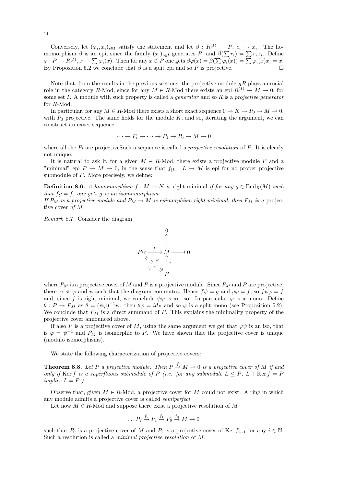Conversely, let  $(\varphi_i, x_i)_{i \in I}$  satisfy the statement and let  $\beta : R^{(I)} \to P$ ,  $e_i \mapsto x_i$ . The homomorphism  $\beta$  is an epi, since the family  $(x_i)_{i\in I}$  generates P, and  $\beta(\sum r_i) = \sum r_i x_i$ . Define  $\varphi: P \to R^{(I)}, x \mapsto \sum \varphi_i(x)$ . Then for any  $x \in P$  one gets  $\beta \varphi(x) = \beta(\sum \varphi_i(x)) = \sum \varphi_i(x)x_i = x$ . By Proposition 5.2 we conclude that  $\beta$  is a split epi and so P is projective.

Note that, from the results in the previous sections, the projective module  $_RR$  plays a crucial role in the category R-Mod, since for any  $M \in R$ -Mod there exists an epi  $R^{(I)} \to M \to 0$ , for some set I. A module with such property is called a *generator* and so  $R$  is a projective generator for R-Mod.

In particular, for any  $M \in R$ -Mod there exists a short exact sequence  $0 \to K \to P_0 \to M \to 0$ , with  $P_0$  projective. The same holds for the module  $K$ , and so, iterating the argument, we can construct an exact sequence

$$
\cdots \to P_i \to \cdots \to P_1 \to P_0 \to M \to 0
$$

where all the  $P_i$  are projectiveSuch a sequence is called a *projective resolution* of  $P$ . It is clearly not unique.

It is natural to ask if, for a given  $M \in R$ -Mod, there exists a projective module P and a "minimal" epi  $P \to M \to 0$ , in the sense that  $f_{|L}: L \to M$  is epi for no proper projective submodule of  $P$ . More precisely, we define:

**Definition 8.6.** A homomorphism  $f : M \to N$  is right minimal if for any  $g \in \text{End}_R(M)$  such that  $fg = f$ , one gets g is an isomomorphism.

If  $P_M$  is a projective module and  $P_M \to M$  is epimorphism right minimal, then  $P_M$  is a projective cover of M.

Remark 8.7. Consider the diagram



where  $P_M$  is a projective cover of M and P is a projective module. Since  $P_M$  and P are projective, there exist  $\varphi$  and  $\psi$  such that the diagram commutes. Hence  $f\psi = g$  and  $g\varphi = f$ , so  $f\psi\varphi = f$ and, since f is right minimal, we conclude  $\psi\varphi$  is an iso. In particular  $\varphi$  is a mono. Define  $\theta: P \to P_M$  as  $\theta = (\psi \varphi)^{-1} \psi$ : then  $\theta \varphi = id_P$  and so  $\varphi$  is a split mono (see Proposition 5.2). We conclude that  $P_M$  is a direct summand of P. This explains the minimality property of the projective cover announced above.

If also P is a projective cover of M, using the same argument we get that  $\varphi\psi$  is an iso, that is  $\varphi = \psi^{-1}$  and  $P_M$  is isomorphic to P. We have shown that the projective cover is unique (modulo isomorphisms).

We state the following characterization of projective covers:

**Theorem 8.8.** Let P a projective module. Then  $P \stackrel{f}{\rightarrow} M \rightarrow 0$  is a projective cover of M if and only if Ker f is a superfluous submodule of P (i.e. for any submodule  $L \leq P$ ,  $L + \text{Ker } f = P$ implies  $L = P.$ )

Observe that, given  $M \in R$ -Mod, a projective cover for M could not exist. A ring in which any module admits a projective cover is called semiperfect

Let now  $M \in R$ -Mod and suppose there exist a projective resolution of M

$$
\dots P_2 \stackrel{f_2}{\rightarrow} P_1 \stackrel{f_1}{\rightarrow} P_0 \stackrel{f_0}{\rightarrow} M \rightarrow 0
$$

such that  $P_0$  is a projective cover of M and  $P_i$  is a projective cover of Ker  $f_{i-1}$  for any  $i \in \mathbb{N}$ . Such a resolution is called a minimal projective resolution of M.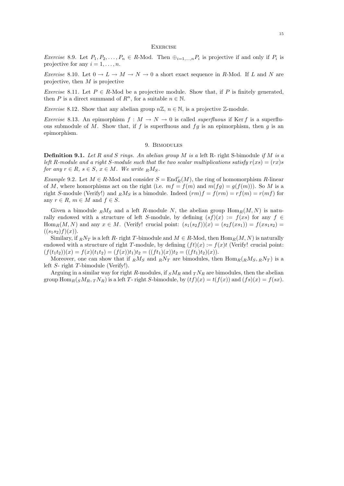#### **EXERCISE**

*Exercise* 8.9. Let  $P_1, P_2, \ldots, P_n \in R$ -Mod. Then  $\bigoplus_{i=1,\ldots,n} P_i$  is projective if and only if  $P_i$  is projective for any  $i = 1, \ldots, n$ .

Exercise 8.10. Let  $0 \to L \to M \to N \to 0$  a short exact sequence in R-Mod. If L and N are projective, then  $M$  is projective

Exercise 8.11. Let  $P \in R$ -Mod be a projective module. Show that, if P is finitely generated, then P is a direct summand of  $R^n$ , for a suitable  $n \in \mathbb{N}$ .

*Exercise* 8.12. Show that any abelian group  $n\mathbb{Z}, n \in \mathbb{N}$ , is a projective  $\mathbb{Z}$ -module.

*Exercise* 8.13. An epimorphism  $f : M \to N \to 0$  is called *superfluous* if Ker f is a superfluous submodule of M. Show that, if f is superfluous and  $fg$  is an epimorphism, then g is an epimorphism.

#### 9. Bimodules

**Definition 9.1.** Let R and S rings. An abelian group M is a left R- right S-bimodule if M is a left R-module and a right S-module such that the two scalar multiplications satisfy  $r(xs) = (rx)s$ for any  $r \in R$ ,  $s \in S$ ,  $x \in M$ . We write  $R M_S$ .

Example 9.2. Let  $M \in R$ -Mod and consider  $S = \text{End}_R^r(M)$ , the ring of homomorphism R-linear of M, where homorphisms act on the right (i.e.  $mf = f(m)$  and  $m(fg) = g(f(m))$ ). So M is a right S-module (Verify!) and  $_R M_S$  is a bimodule. Indeed  $(rm)f = f(rm) = rf(m) = r(mf)$  for any  $r \in R$ ,  $m \in M$  and  $f \in S$ .

Given a bimodule  $_R M_S$  and a left R-module N, the abelian group  $\text{Hom}_R(M, N)$  is naturally endowed with a structure of left S-module, by defining  $(sf)(x) := f(xs)$  for any  $f \in$  $\text{Hom}_R(M, N)$  and any  $x \in M$ . (Verify! crucial point:  $(s_1(s_2 f))(x) = (s_2 f(x_1)) = f(x_1, s_2) =$  $((s_1s_2)f)(x)$ .

Similary, if  $R\ N_T$  is a left R- right T-bimodule and  $M \in R$ -Mod, then  $\text{Hom}_R(M, N)$  is naturally endowed with a structure of right T-module, by defining  $(f t)(x) := f(x) t$  (Verify! crucial point:  $(f(t_1t_2))(x) = f(x)(t_1t_2) = (f(x))t_1)t_2 = ((ft_1)(x))t_2 = ((ft_1)t_2)(x).$ 

Moreover, one can show that if  $_R M_S$  and  $_R N_T$  are bimodules, then  $\text{Hom}_R(RM_S, RN_T)$  is a left S- right T-bimodule (Verify!).

Arguing in a similar way for right R-modules, if  $sM_R$  and  ${}_TN_R$  are bimodules, then the abelian group  $\text{Hom}_R(sM_R, T^N_R)$  is a left T- right S-bimodule, by  $(tf)(x) = t(f(x))$  and  $(fs)(x) = f(sx)$ .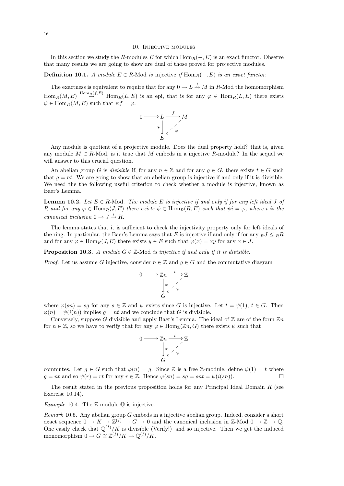#### 10. Injective modules

In this section we study the R-modules E for which  $\text{Hom}_R(-, E)$  is an exact functor. Observe that many results we are going to show are dual of those proved for projective modules.

## **Definition 10.1.** A module  $E \in R$ -Mod is injective if Hom<sub>R</sub>(−, E) is an exact functor.

The exactness is equivalent to require that for any  $0 \to L \stackrel{f}{\to} M$  in R-Mod the homomorphism  $\text{Hom}_R(M, E) \stackrel{\text{Hom}_R(f, E)}{\rightarrow} \text{Hom}_R(L, E)$  is an epi, that is for any  $\varphi \in \text{Hom}_R(L, E)$  there exists  $\psi \in \text{Hom}_R(M, E)$  such that  $\psi f = \varphi$ .

$$
0 \longrightarrow L \xrightarrow{\qquad f} M
$$

$$
\downarrow \searrow \searrow \searrow M
$$

$$
E
$$

Any module is quotient of a projective module. Does the dual property hold? that is, given any module  $M \in R$ -Mod, is it true that M embeds in a injective R-module? In the sequel we will answer to this crucial question.

An abelian group G is divisible if, for any  $n \in \mathbb{Z}$  and for any  $g \in G$ , there exists  $t \in G$  such that  $g = nt$ . We are going to show that an abelian group is injective if and only if it is divisible. We need the the following useful criterion to check whether a module is injective, known as Baer's Lemma.

**Lemma 10.2.** Let  $E \in R$ -Mod. The module E is injective if and only if for any left ideal J of R and for any  $\varphi \in \text{Hom}_R(J, E)$  there exists  $\psi \in \text{Hom}_R(R, E)$  such that  $\psi i = \varphi$ , where i is the canonical inclusion  $0 \to J \stackrel{i}{\to} R$ .

The lemma states that it is sufficient to check the injectivity property only for left ideals of the ring. In particular, the Baer's Lemma says that E is injective if and only if for any  $RJ \leq R$ and for any  $\varphi \in \text{Hom}_R(J, E)$  there exists  $y \in E$  such that  $\varphi(x) = xy$  for any  $x \in J$ .

**Proposition 10.3.** A module  $G \in \mathbb{Z}$ -Mod is injective if and only if it is divisible.

*Proof.* Let us assume G injective, consider  $n \in \mathbb{Z}$  and  $q \in G$  and the commutative diagram

$$
0 \longrightarrow \mathbb{Z}n \xrightarrow{i} \mathbb{Z}
$$

$$
\downarrow \varphi \qquad \downarrow \varphi
$$

$$
\downarrow \varphi \qquad \downarrow \varphi
$$

$$
\downarrow \varphi
$$

$$
\downarrow \varphi
$$

where  $\varphi(s_n) = sg$  for any  $s \in \mathbb{Z}$  and  $\psi$  exists since G is injective. Let  $t = \psi(1), t \in G$ . Then  $\varphi(n) = \psi(i(n))$  implies  $q = nt$  and we conclude that G is divisible.

Conversely, suppose G divisible and apply Baer's Lemma. The ideal of  $\mathbb Z$  are of the form  $\mathbb Z_n$ for  $n \in \mathbb{Z}$ , so we have to verify that for any  $\varphi \in \text{Hom}_{\mathbb{Z}}(\mathbb{Z}_n, G)$  there exists  $\psi$  such that

$$
0 \longrightarrow \mathbb{Z}n \xrightarrow{i} \mathbb{Z}
$$

$$
\downarrow \varphi \qquad \downarrow \varphi
$$

$$
\downarrow \varphi \qquad \downarrow \varphi
$$

$$
\downarrow \varphi
$$

$$
\downarrow \varphi
$$

commutes. Let  $g \in G$  such that  $\varphi(n) = g$ . Since Z is a free Z-module, define  $\psi(1) = t$  where  $g = nt$  and so  $\psi(r) = rt$  for any  $r \in \mathbb{Z}$ . Hence  $\varphi(sn) = sg = snt = \psi(i(sn))$ .

The result stated in the previous proposition holds for any Principal Ideal Domain  $R$  (see Exercise 10.14).

*Example* 10.4. The  $\mathbb{Z}$ -module  $\mathbb{Q}$  is injective.

Remark 10.5. Any abelian group G embeds in a injective abelian group. Indeed, consider a short exact sequence  $0 \to K \to \mathbb{Z}^{(I)} \to G \to 0$  and the canonical inclusion in  $\mathbb{Z}\text{-Mod }0 \to \mathbb{Z} \to \mathbb{Q}$ . One easily check that  $\mathbb{Q}^{(I)}/K$  is divisible (Verify!) and so injective. Then we get the induced monomorphism  $0 \to G \cong \mathbb{Z}^{(I)}/K \to \mathbb{Q}^{(I)}/K$ .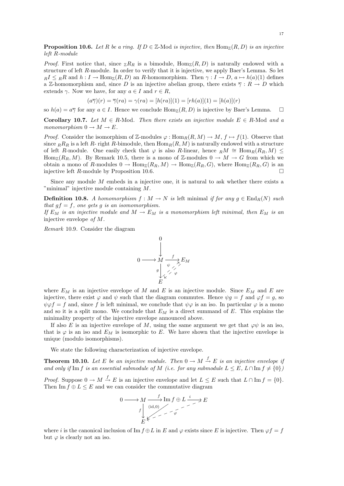**Proposition 10.6.** Let R be a ring. If  $D \in \mathbb{Z}$ -Mod is injective, then  $\text{Hom}_{\mathbb{Z}}(R, D)$  is an injective left R-module

*Proof.* First notice that, since  $_{\mathbb{Z}}R_R$  is a bimodule,  $\text{Hom}_{\mathbb{Z}}(R, D)$  is naturally endowed with a structure of left R-module. In order to verify that it is injective, we apply Baer's Lemma. So let  $R I \leq R R$  and  $h : I \to \text{Hom}_{\mathbb{Z}}(R, D)$  an R-homomorphism. Then  $\gamma : I \to D$ ,  $a \mapsto h(a)(1)$  defines a Z-homomorphism and, since D is an injective abelian group, there exists  $\overline{\gamma}: R \to D$  which extends  $\gamma$ . Now we have, for any  $a \in I$  and  $r \in R$ ,

$$
(a\overline{\gamma})(r) = \overline{\gamma}(ra) = \gamma(ra) = [h(ra)](1) = [rh(a)](1) = [h(a)](r)
$$

so  $h(a) = a\overline{\gamma}$  for any  $a \in I$ . Hence we conclude  $\text{Hom}_{\mathbb{Z}}(R, D)$  is injective by Baer's Lemma.  $\square$ 

Corollary 10.7. Let  $M \in R$ -Mod. Then there exists an injective module  $E \in R$ -Mod and a monomorphism  $0 \to M \to E$ .

*Proof.* Consider the isomorphism of Z-modules  $\varphi : \text{Hom}_R(R, M) \to M$ ,  $f \mapsto f(1)$ . Observe that since  $_R R_R$  is a left R- right R-bimodule, then  $\text{Hom}_R(R, M)$  is naturally endowed with a structure of left R-module. One easily check that  $\varphi$  is also R-linear, hence  $_R M \cong \text{Hom}_R(R_R, M)$ Hom<sub>Z</sub>(R<sub>R</sub>, M). By Remark 10.5, there is a mono of Z-modules  $0 \to M \to G$  from which we obtain a mono of R-modules  $0 \to \text{Hom}_{\mathbb{Z}}(R_R, M) \to \text{Hom}_{\mathbb{Z}}(R_R, G)$ , where  $\text{Hom}_{\mathbb{Z}}(R_R, G)$  is an injective left  $R$ -module by Proposition 10.6.

Since any module M embeds in a injective one, it is natural to ask whether there exists a "minimal" injective module containing M.

**Definition 10.8.** A homomorphism  $f : M \to N$  is left minimal if for any  $g \in \text{End}_R(N)$  such that  $gf = f$ , one gets g is an isomomorphism.

If  $E_M$  is an injective module and  $M \to E_M$  is a monomorphism left minimal, then  $E_M$  is an injective envelope of M.

Remark 10.9. Consider the diagram



where  $E_M$  is an injective envelope of M and E is an injective module. Since  $E_M$  and E are injective, there exist  $\varphi$  and  $\psi$  such that the diagram commutes. Hence  $\psi g = f$  and  $\varphi f = g$ , so  $\psi \varphi f = f$  and, since f is left minimal, we conclude that  $\psi \varphi$  is an iso. In particular  $\varphi$  is a mono and so it is a split mono. We conclude that  $E_M$  is a direct summand of E. This explains the minimality property of the injective envelope announced above.

If also E is an injective envelope of M, using the same argument we get that  $\varphi\psi$  is an iso, that is  $\varphi$  is an iso and  $E_M$  is isomorphic to E. We have shown that the injective envelope is unique (modulo isomorphisms).

We state the following characterization of injective envelope.

**Theorem 10.10.** Let E be an injective module. Then  $0 \to M \stackrel{f}{\to} E$  is an injective envelope if and only if Im f is an essential submodule of M (i.e. for any submodule  $L \leq E$ ,  $L \cap \text{Im } f \neq \{0\}$ )

*Proof.* Suppose  $0 \to M \stackrel{f}{\to} E$  is an injective envelope and let  $L \leq E$  such that  $L \cap \text{Im } f = \{0\}.$ Then  $\text{Im } f \oplus L \leq E$  and we can consider the commutative diagram

$$
0 \longrightarrow M \xrightarrow{f} \operatorname{Im} f \oplus L \xrightarrow{i} E
$$
  

$$
f \downarrow \qquad \qquad \downarrow \qquad \downarrow
$$
  

$$
E \uparrow \qquad \qquad \downarrow
$$

where i is the canonical inclusion of Im  $f \oplus L$  in E and  $\varphi$  exists since E is injective. Then  $\varphi f = f$ but  $\varphi$  is clearly not an iso.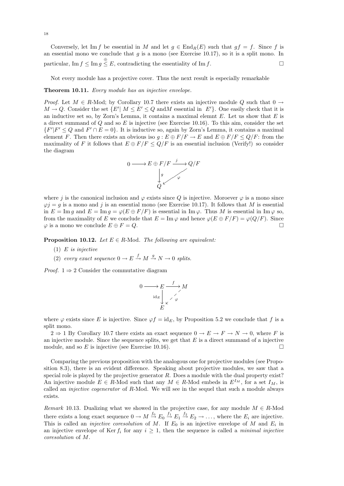Conversely, let Im f be essential in M and let  $g \in \text{End}_R(E)$  such that  $gf = f$ . Since f is an essential mono we conclude that  $g$  is a mono (see Exercise 10.17), so it is a split mono. In particular,  $\text{Im } f \leq \text{Im } g \stackrel{\oplus}{\leq} E$ , contradicting the essentiality of  $\text{Im } f$ .

Not every module has a projective cover. Thus the next result is especially remarkable

#### Theorem 10.11. Every module has an injective envelope.

*Proof.* Let  $M \in R$ -Mod; by Corollary 10.7 there exists an injective module Q such that  $0 \rightarrow$  $M \to Q$ . Consider the set  $\{E' | M \leq E' \leq Q \text{ and } M \text{ essential in } E'\}$ . One easily check that it is an inductive set so, by Zorn's Lemma, it contains a maximal elemnt  $E$ . Let us show that  $E$  is a direct summand of  $Q$  and so  $E$  is injective (see Exercise 10.16). To this aim, consider the set  $\{F'|F' \leq Q \text{ and } F' \cap E = 0\}$ . It is inductive so, again by Zorn's Lemma, it contains a maximal element F. Then there exists an obvious iso  $g : E \oplus F/F \to E$  and  $E \oplus F/F \le Q/F$ : from the maximality of F it follows that  $E \oplus F/F \le Q/F$  is an essential inclusion (Verify!) so consider the diagram



where j is the canonical inclusion and  $\varphi$  exists since Q is injective. Moroever  $\varphi$  is a mono since  $\varphi j = g$  is a mono and j is an essential mono (see Exercise 10.17). It follows that M is essential in  $E = \text{Im } q$  and  $E = \text{Im } q = \varphi(E \oplus F/F)$  is essential in  $\text{Im } \varphi$ . Thus M is essential in  $\text{Im } \varphi$  so, from the maximality of E we conclude that  $E = \text{Im}\,\varphi$  and hence  $\varphi(E \oplus F/F) = \varphi(Q/F)$ . Since  $\varphi$  is a mono we conclude  $E \oplus F = Q$ .

**Proposition 10.12.** Let  $E \in R$ -Mod. The following are equivalent:

- (1)  $E$  is injective
- (2) every exact sequence  $0 \to E \stackrel{f}{\to} M \stackrel{g}{\to} N \to 0$  splits.

*Proof.* 1  $\Rightarrow$  2 Consider the commutative diagram

$$
0 \longrightarrow E \longrightarrow M
$$
  
\n
$$
\downarrow_{\kappa} \qquad \searrow \qquad M
$$
  
\n
$$
E
$$

where  $\varphi$  exists since E is injective. Since  $\varphi f = id_E$ , by Proposition 5.2 we conclude that f is a split mono.

 $2 \Rightarrow 1$  By Corollary 10.7 there exists an exact sequence  $0 \rightarrow E \rightarrow F \rightarrow N \rightarrow 0$ , where F is an injective module. Since the sequence splits, we get that  $E$  is a direct summand of a injective module, and so E is injective (see Exercise 10.16).

Comparing the previous proposition with the analogous one for projective modules (see Proposition 8.3), there is an evident difference. Speaking about projective modules, we saw that a special role is played by the projective generator  $R$ . Does a module with the dual property exist? An injective module  $E \in R$ -Mod such that any  $M \in R$ -Mod embeds in  $E^{I_M}$ , for a set  $I_M$ , is called an *injective cogenerator* of R-Mod. We will see in the sequel that such a module always exists.

Remark 10.13. Dualizing what we showed in the projective case, for any module  $M \in R$ -Mod there exists a long exact sequence  $0 \to M \stackrel{f_0}{\to} E_0 \stackrel{f_1}{\to} E_1 \stackrel{f_2}{\to} E_2 \to \ldots$ , where the  $E_i$  are injective. This is called an *injective coresolution* of M. If  $E_0$  is an injective envelope of M and  $E_i$  in an injective envelope of Ker  $f_i$  for any  $i \geq 1$ , then the sequence is called a *minimal injective* coresolution of M.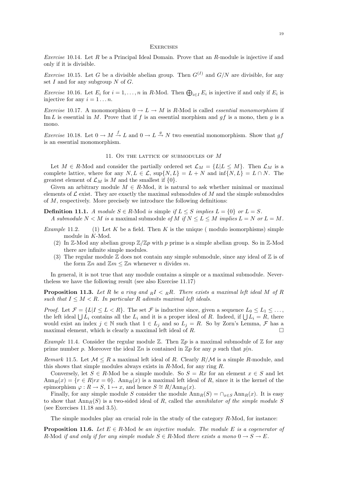#### **EXERCISES**

*Exercise* 10.14. Let  $R$  be a Principal Ideal Domain. Prove that an  $R$ -module is injective if and only if it is divisible.

*Exercise* 10.15. Let G be a divisible abelian group. Then  $G^{(I)}$  and  $G/N$  are divisible, for any set  $I$  and for any subgroup  $N$  of  $G$ .

*Exercise* 10.16. Let  $E_i$  for  $i = 1, ..., n$  in R-Mod. Then  $\bigoplus_{i \in I} E_i$  is injective if and only if  $E_i$  is injective for any  $i = 1 \dots n$ .

*Exercise* 10.17. A monomorphism  $0 \to L \to M$  is R-Mod is called *essential monomorphism* if Im L is essential in M. Prove that if f is an essential morphism and  $gf$  is a mono, then g is a mono.

*Exercise* 10.18. Let  $0 \to M \stackrel{f}{\to} L$  and  $0 \to L \stackrel{g}{\to} N$  two essential monomorphism. Show that gf is an essential monomorphism.

#### 11. ON THE LATTICE OF SUBMODULES OF M

Let  $M \in R$ -Mod and consider the partially ordered set  $\mathcal{L}_M = \{L | L \leq M\}$ . Then  $\mathcal{L}_M$  is a complete lattice, where for any  $N, L \in \mathcal{L}$ ,  $\sup\{N, L\} = L + N$  and  $\inf\{N, L\} = L \cap N$ . The greatest element of  $\mathcal{L}_M$  is M and the smallest if  $\{0\}$ .

Given an arbitrary module  $M \in R$ -Mod, it is natural to ask whether minimal or maximal elements of  $\mathcal L$  exist. They are exactly the maximal submodules of M and the simple submodules of M, respectively. More precisely we introduce the following definitions:

**Definition 11.1.** A module  $S \in R$ -Mod is simple if  $L \leq S$  implies  $L = \{0\}$  or  $L = S$ . A submodule  $N < M$  is a maximal submodule of M if  $N < L < M$  implies  $L = N$  or  $L = M$ .

- *Example* 11.2. (1) Let K be a field. Then K is the unique (modulo isomorphisms) simple module in K-Mod.
	- (2) In Z-Mod any abelian group  $\mathbb{Z}/\mathbb{Z}p$  with p prime is a simple abelian group. So in Z-Mod there are infinite simple modules.
	- (3) The regular module  $\mathbb Z$  does not contain any simple submodule, since any ideal of  $\mathbb Z$  is of the form  $\mathbb{Z}n$  and  $\mathbb{Z}m \leq \mathbb{Z}n$  whenever n divides m.

In general, it is not true that any module contains a simple or a maximal submodule. Nevertheless we have the following result (see also Exercise 11.17)

**Proposition 11.3.** Let R be a ring and  $R I \nleq R R$ . There exists a maximal left ideal M of R such that  $I \leq M < R$ . In particular R adimits maximal left ideals.

*Proof.* Let  $\mathcal{F} = \{L | I \leq L < R\}$ . The set  $\mathcal{F}$  is inductive since, given a sequence  $L_0 \leq L_1 \leq \ldots$ , the left ideal  $\bigcup L_i$  contains all the  $L_i$  and it is a proper ideal of R. Indeed, if  $\bigcup L_i = R$ , there would exist an index  $j \in \mathbb{N}$  such that  $1 \in L_j$  and so  $L_j = R$ . So by Zorn's Lemma,  $\mathcal F$  has a maximal element, which is clearly a maximal left ideal of R.

Example 11.4. Consider the regular module  $\mathbb Z$ . Then  $\mathbb Zp$  is a maximal submodule of  $\mathbb Z$  for any prime number p. Moreover the ideal  $\mathbb{Z}n$  is contained in  $\mathbb{Z}p$  for any p such that  $p|n$ .

Remark 11.5. Let  $\mathcal{M} \leq R$  a maximal left ideal of R. Clearly  $R/\mathcal{M}$  is a simple R-module, and this shows that simple modules always exists in  $R$ -Mod, for any ring  $R$ .

Conversely, let  $S \in R$ -Mod be a simple module. So  $S = Rx$  for an element  $x \in S$  and let  $\text{Ann}_R(x) = \{r \in R | rx = 0\}.$  Ann $_R(x)$  is a maximal left ideal of R, since it is the kernel of the epimorphism  $\varphi : R \to S$ , 1  $\mapsto x$ , and hence  $S \cong R/\text{Ann}_R(x)$ .

Finally, for any simple module S consider the module  $\text{Ann}_R(S) = \bigcap_{x \in S} \text{Ann}_R(x)$ . It is easy to show that  $\text{Ann}_{R}(S)$  is a two-sided ideal of R, called the *annihilator of the simple module S* (see Exercises 11.18 and 3.5).

The simple modules play an crucial role in the study of the category  $R$ -Mod, for instance:

**Proposition 11.6.** Let  $E \in R$ -Mod be an injective module. The module E is a cogenerator of R-Mod if and only if for any simple module  $S \in R$ -Mod there exists a mono  $0 \to S \to E$ .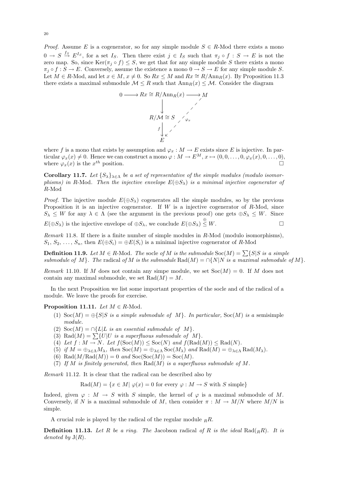*Proof.* Assume E is a cogenerator, so for any simple module  $S \in R$ -Mod there exists a mono  $0 \to S \stackrel{f_S}{\to} E^{I_S}$ , for a set  $I_S$ . Then there exist  $j \in I_S$  such that  $\pi_j \circ f : S \to E$  is not the zero map. So, since  $\text{Ker}(\pi_j \circ f) \leq S$ , we get that for any simple module S there exists a mono  $\pi_j \circ f : S \to E$ . Conversely, assume the existence a mono  $0 \to S \to E$  for any simple module S. Let  $M \in R$ -Mod, and let  $x \in M$ ,  $x \neq 0$ . So  $Rx \leq M$  and  $Rx \cong R/\text{Ann}_R(x)$ . By Proposition 11.3 there exists a maximal submodule  $\mathcal{M} \leq R$  such that  $\text{Ann}_R(x) \leq \mathcal{M}$ . Consider the diagram



where f is a mono that exists by assumption and  $\varphi_x : M \to E$  exists since E is injective. In particular  $\varphi_x(x) \neq 0$ . Hence we can construct a mono  $\varphi : M \to E^M$ ,  $x \mapsto (0,0,\ldots,0,\varphi_x(x),0,\ldots,0)$ , where  $\varphi_x(x)$  is the  $x^{th}$  position.

Corollary 11.7. Let  $\{S_{\lambda}\}_{{\lambda}\in {\Lambda}}$  be a set of representative of the simple modules (modulo isomorphisms) in R-Mod. Then the injective envelope  $E(\oplus S_\lambda)$  is a minimal injective cogenerator of R-Mod

*Proof.* The injective module  $E(\oplus S_\lambda)$  cogenerates all the simple modules, so by the previous Proposition it is an injective cogenerator. If  $W$  is a injective cogenerator of  $R\text{-Mod}$ , since  $S_{\lambda} \leq W$  for any  $\lambda \in \Lambda$  (see the argument in the previous proof) one gets  $\oplus S_{\lambda} \leq W$ . Since  $E(\oplus S_{\lambda})$  is the injective envelope of  $\oplus S_{\lambda}$ , we conclude  $E(\oplus S_{\lambda}) \stackrel{\oplus}{\leq} W$ .

Remark 11.8. If there is a finite number of simple modules in R-Mod (modulo isomorphisms),  $S_1, S_2, \ldots, S_n$ , then  $E(\oplus S_i) = \oplus E(S_i)$  is a minimal injective cogenerator of R-Mod

**Definition 11.9.** Let  $M \in R$ -Mod. The socle of M is the submodule  $Soc(M) = \sum \{S|S \text{ is a simple}$ submodule of M}. The radical of M is the submodule  $\text{Rad}(M) = \bigcap \{N|N \text{ is a maximal submodule of } M\}$ .

Remark 11.10. If M does not contain any simpe module, we set  $Soc(M) = 0$ . If M does not contain any maximal submodule, we set  $\text{Rad}(M) = M$ .

In the next Proposition we list some important properties of the socle and of the radical of a module. We leave the proofs for exercise.

#### **Proposition 11.11.** Let  $M \in R$ -Mod.

- (1)  $\text{Soc}(M) = \bigoplus \{S|S \text{ is a simple submodule of } M\}$ . In particular,  $\text{Soc}(M)$  is a semisimple module.
- (2) Soc $(M) = \bigcap \{L | L \text{ is an essential submodule of } M \}.$
- (3) Rad $(M) = \sum \{U|U$  is a superfluous submodule of M.
- (4) Let  $f: M \to N$ . Let  $f(\text{Soc}(M)) \leq \text{Soc}(N)$  and  $f(\text{Rad}(M)) \leq \text{Rad}(N)$ .
- (5) if  $M = \bigoplus_{\lambda \in \Lambda} M_{\lambda}$ , then  $Soc(M) = \bigoplus_{\lambda \in \Lambda} Soc(M_{\lambda})$  and  $Rad(M) = \bigoplus_{\lambda \in \Lambda} Rad(M_{\lambda})$ .
- (6) Rad $(M/Rad(M)) = 0$  and  $Soc(Soc(M)) = Soc(M)$ .
- (7) If M is finitely generated, then  $\text{Rad}(M)$  is a superfluous submodule of M.

Remark 11.12. It is clear that the radical can be described also by

 $\text{Rad}(M) = \{x \in M | \varphi(x) = 0 \text{ for every } \varphi : M \to S \text{ with } S \text{ simple}\}\$ 

Indeed, given  $\varphi : M \to S$  with S simple, the kernel of  $\varphi$  is a maximal submodule of M. Conversely, if N is a maximal submodule of M, then consider  $\pi : M \to M/N$  where  $M/N$  is simple.

A crucial role is played by the radical of the regular module  $_R R$ .

**Definition 11.13.** Let R be a ring. The Jacobson radical of R is the ideal Rad(<sub>R</sub>R). It is denoted by  $J(R)$ .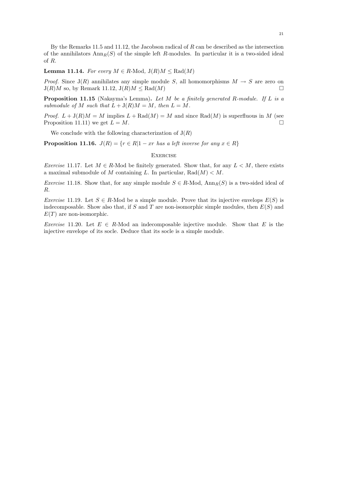By the Remarks 11.5 and 11.12, the Jacobson radical of R can be described as the intersection of the annihilators  $Ann_R(S)$  of the simple left R-modules. In particular it is a two-sided ideal of R.

**Lemma 11.14.** For every  $M \in R$ -Mod,  $J(R)M \leq Rad(M)$ 

*Proof.* Since  $J(R)$  annihilates any simple module S, all homomorphisms  $M \rightarrow S$  are zero on  $J(R)M$  so, by Remark 11.12,  $J(R)M <$ Rad $(M)$ 

**Proposition 11.15** (Nakayma's Lemma). Let M be a finitely generated R-module. If L is a submodule of M such that  $L + J(R)M = M$ , then  $L = M$ .

*Proof.*  $L + J(R)M = M$  implies  $L + \text{Rad}(M) = M$  and since  $\text{Rad}(M)$  is superfluous in M (see Proposition 11.11) we get  $L = M$ .

We conclude with the following characterization of  $J(R)$ 

**Proposition 11.16.**  $J(R) = \{r \in R | 1 - xr \text{ has a left inverse for any } x \in R\}$ 

#### **EXERCISE**

Exercise 11.17. Let  $M \in R$ -Mod be finitely generated. Show that, for any  $L \lt M$ , there exists a maximal submodule of M containing L. In particular,  $\text{Rad}(M) < M$ .

*Exercise* 11.18. Show that, for any simple module  $S \in R$ -Mod,  $Ann_R(S)$  is a two-sided ideal of R.

*Exercise* 11.19. Let  $S \in R$ -Mod be a simple module. Prove that its injective envelops  $E(S)$  is indecomposable. Show also that, if S and T are non-isomorphic simple modules, then  $E(S)$  and  $E(T)$  are non-isomorphic.

Exercise 11.20. Let  $E \in R$ -Mod an indecomposable injective module. Show that E is the injective envelope of its socle. Deduce that its socle is a simple module.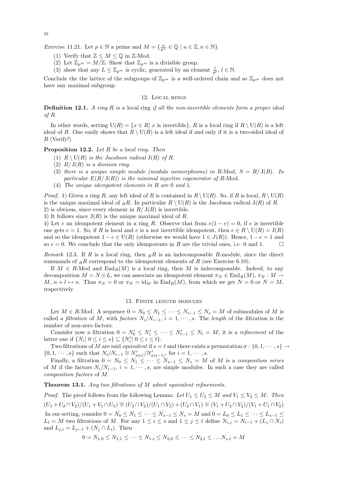22

*Exercise* 11.21. Let  $p \in \mathbb{N}$  a prime and  $M = \{\frac{a}{p^n} \in \mathbb{Q} \mid a \in \mathbb{Z}, n \in \mathbb{N}\}.$ 

- (1) Verify that  $\mathbb{Z} \leq M \leq \mathbb{Q}$  in  $\mathbb{Z}\text{-Mod}$ .
- (2) Let  $\mathbb{Z}_{p^{\infty}} = M/\mathbb{Z}$ . Show that  $\mathbb{Z}_{p^{\infty}}$  is a divisible group.
- (3) show that any  $L \leq \mathbb{Z}_{p^{\infty}}$  is cyclic, generated by an element  $\frac{1}{p^l}, l \in \mathbb{N}$ .

Conclude the the lattice of the subgroups of  $\mathbb{Z}_{p^{\infty}}$  is a well-ordered chain and so  $\mathbb{Z}_{p^{\infty}}$  does not have any maximal subgroup.

## 12. Local rings

**Definition 12.1.** A ring R is a local ring if all the non-invertible elements form a proper ideal of R.

In other words, setting  $U(R) = \{x \in R | x$  is invertible, R is a local ring if  $R \setminus U(R)$  is a left ideal of R. One easily shows that  $R \setminus U(R)$  is a left ideal if and only if it is a two-sided ideal of  $R$  (Verify!).

### Proposition 12.2. Let R be a local ring. Then

- (1)  $R \setminus \mathrm{U}(R)$  is the Jacobson radical  $\mathrm{J}(R)$  of R.
- (2)  $R/J(R)$  is a division ring.
- (3) there is a unique simple module (modulo isomorphisms) in R-Mod,  $S = R/J(R)$ . In particular  $E(R/\mathrm{J}(R))$  is the minimal injective cogenerator of R-Mod.
- (4) The unique idempotent elements in R are 0 and 1.

*Proof.* 1) Given a ring R, any left ideal of R is contained in  $R \setminus U(R)$ . So, if R is local,  $R \setminus U(R)$ is the unique maximal ideal of RR. In particular  $R \setminus U(R)$  is the Jacobson radical  $J(R)$  of R. 2) is obvious, since every element in  $R/J(R)$  is invertible.

3) It follows since  $J(R)$  is the unique maximal ideal of R.

4) Let e an idempotent element in a ring R. Observe that from  $e(1-e) = 0$ , if e is invertible one gets  $e = 1$ . So, if R is local and e is a not invertible idempotent, then  $e \in R \setminus U(R) = J(R)$ and so the idempotent  $1 - e \in U(R)$  (otherwise we would have  $1 \in J(R)$ ). Hence,  $1 - e = 1$  and so  $e = 0$ . We conclude that the only idempotents in R are the trivial ones, i.e. 0 and 1.

Remark 12.3. If R is a local ring, then  $_R$ R is an indecomposable R-module, since the direct summands of  $_R\ddot{R}$  correspond to the idempotent elements of  $R$  (see Exercise 6.10).

If  $M \in R$ -Mod and  $\text{End}_R(M)$  is a local ring, then M is indecomposable. Indeed, to any decomposition  $M = N \oplus L$ , we can associate an idempotent element  $\pi_N \in \text{End}_R(M)$ ,  $\pi_N : M \to$ M,  $n + l \mapsto n$ . Thus  $\pi_N = 0$  or  $\pi_N = \text{id}_M$  in  $\text{End}_R(M)$ , from which we get  $N = 0$  or  $N = M$ , respectively.

### 13. Finite length modules

Let  $M \in R$ -Mod. A sequence  $0 = N_0 \leq N_1 \leq \cdots \leq N_{s-1} \leq N_s = M$  of submodules of M is called a *filtration* of M, with factors  $N_i/N_{i-1}$ ,  $i = 1, \dots, s$ . The length of the filtration is the number of non-zero factors.

Consider now a filtration  $0 = N'_0 \leq N'_1 \leq \cdots \leq N'_{t-1} \leq N_t = M$ ; it is a *refinement* of the latter one if  $\{N_i | 0 \le i \le s\} \subseteq \{N'_i | 0 \le i \le t\}.$ 

Two filtrations of M are said equivalent if  $s = t$  and there exists a permutation  $\sigma : \{0, 1, \dots, s\} \rightarrow$  $\{0, 1, \dots, s\}$  such that  $N_i/N_{i-1} \cong N'_{\sigma(i)}/N'_{\sigma(i-1)}$ , for  $i = 1, \dots, s$ .

Finally, a filtration  $0 = N_0 \leq N_1 \leq \cdots \leq N_{s-1} \leq N_s = M$  of M is a composition series of M if the factors  $N_i/N_{i-1}$ ,  $i = 1, \dots, s$ , are simple modules. In such a case they are called composition factors of M.

Theorem 13.1. Any two filtrations of M admit equivalent refinements.

*Proof.* The proof follows from the following Lemma: Let  $U_1 \leq U_2 \leq M$  and  $V_1 \leq V_2 \leq M$ . Then  $(U_1 + U_2 \cap V_2)/(U_1 + V_1 \cap U_2) \cong (U_2 \cap V_2)/(U_1 \cap V_2) + (U_2 \cap V_1) \cong (V_1 + U_2 \cap V_2)/(V_1 + U_1 \cap V_2)$ In our setting, consider  $0 = N_0 \le N_1 \le \cdots \le N_{s-1} \le N_s = M$  and  $0 = L_0 \le L_1 \le \cdots \le L_{s-1} \le$  $L_t = M$  two filtrations of M. For any  $1 \leq i \leq s$  and  $1 \leq j \leq t$  define  $N_{i,j} = N_{i-1} + (L_j \cap N_i)$ and  $L_{j,i} = L_{j-1} + (N_j \cap L_i)$ . Then

$$
0 = N_{1,0} \le N_{1,1} \le \cdots \le N_{1,t} \le N_{2,0} \le \cdots \le N_{2,t} \le \ldots N_{s,t} = M
$$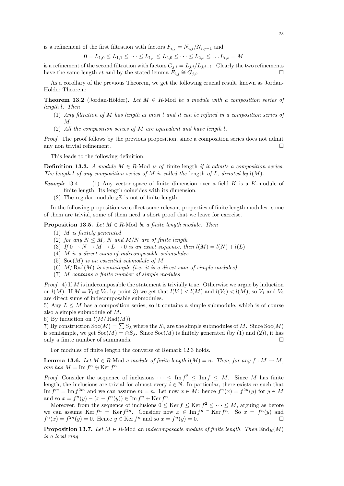is a refinement of the first filtration with factors  $F_{i,j} = N_{i,j}/N_{i,j-1}$  and

$$
0 = L_{1,0} \le L_{1,1} \le \cdots \le L_{1,s} \le L_{2,0} \le \cdots \le L_{2,s} \le \ldots L_{t,s} = M
$$

is a refinement of the second filtration with factors  $G_{j,i} = L_{j,i}/L_{j,i-1}$ . Clearly the two refinements have the same length st and by the stated lemma  $F_{i,j} \cong G_{j,i}$ .

As a corollary of the previous Theorem, we get the following crucial result, known as Jordan-Hölder Theorem:

**Theorem 13.2** (Jordan-Hölder). Let  $M \in R$ -Mod be a module with a composition series of length l. Then

- (1) Any filtration of M has length at most l and it can be refined in a composition series of M.
- (2) All the composition series of M are equivalent and have length l.

Proof. The proof follows by the previous proposition, since a composition series does not admit any non trivial refinement.  $\Box$ 

This leads to the following definition:

**Definition 13.3.** A module  $M \in R$ -Mod is of finite length if it admits a composition series. The length l of any composition series of M is called the length of L, denoted by  $l(M)$ .

- Example 13.4. (1) Any vector space of finite dimension over a field  $K$  is a  $K$ -module of finite length. Its length coincides with its dimension.
	- (2) The regular module  $Z\mathbb{Z}$  is not of finite length.

In the following proposition we collect some relevant properties of finite length modules: some of them are trivial, some of them need a short proof that we leave for exercise.

**Proposition 13.5.** Let  $M \in R$ -Mod be a finite length module. Then

- (1) M is finitely generated
- (2) for any  $N \leq M$ , N and  $M/N$  are of finite length
- (3) If  $0 \to N \to M \to L \to 0$  is an exact sequence, then  $l(M) = l(N) + l(L)$
- (4) M is a direct sums of indecomposable submodules.
- (5)  $Soc(M)$  is an essential submodule of M
- (6)  $M/Rad(M)$  is semisimple (i.e. it is a direct sum of simple modules)
- (7) M contains a finite number of simple modules

*Proof.* 4) If M is indecomposable the statement is trivially true. Otherwise we argue by induction on  $l(M)$ . If  $M = V_1 \oplus V_2$ , by point 3) we get that  $l(V_1) < l(M)$  and  $l(V_2) < l(M)$ , so  $V_1$  and  $V_2$ are direct sums of indecomposable submodules.

5) Any  $L \leq M$  has a composition series, so it contains a simple submodule, which is of course also a simple submodule of M.

6) By induction on  $l(M/\operatorname{Rad}(M))$ 

7) By construction  $Soc(M) = \sum S_\lambda$  where the  $S_\lambda$  are the simple submodules of M. Since  $Soc(M)$ is semisimple, we get  $Soc(M) = \bigoplus S_\lambda$ . Since  $Soc(M)$  is finitely generated (by (1) and (2)), it has only a finite number of summands.  $\square$ 

For modules of finite length the converse of Remark 12.3 holds.

**Lemma 13.6.** Let  $M \in R$ -Mod a module of finite length  $l(M) = n$ . Then, for any  $f : M \to M$ , one has  $M = \text{Im } f^n \oplus \text{Ker } f^n$ .

*Proof.* Consider the sequence of inclusions  $\cdots \leq \text{Im } f^2 \leq \text{Im } f \leq M$ . Since M has finite length, the inclusions are trivial for almost every  $i \in \mathbb{N}$ . In particular, there exists m such that Im  $f^m = \text{Im } f^{2m}$  and we can assume  $m = n$ . Let now  $x \in M$ : hence  $f^n(x) = f^{2n}(y)$  for  $y \in M$ and so  $x = f^{n}(y) - (x - f^{n}(y)) \in \text{Im } f^{n} + \text{Ker } f^{n}$ .

Moreover, from the sequence of inclusions  $0 \leq \text{Ker } f \leq \text{Ker } f^2 \leq \cdots \leq M$ , arguing as before we can assume Ker  $f^n = \text{Ker } f^{2n}$ . Consider now  $x \in \text{Im } f^n \cap \text{Ker } f^n$ . So  $x = f^n(y)$  and  $f^{n}(x) = f^{2n}(y) = 0.$  Hence  $y \in \text{Ker } f^{n}$  and so  $x = f^{n}(y) = 0.$ 

**Proposition 13.7.** Let  $M \in R$ -Mod an indecomposable module of finite length. Then  $\text{End}_{R}(M)$ is a local ring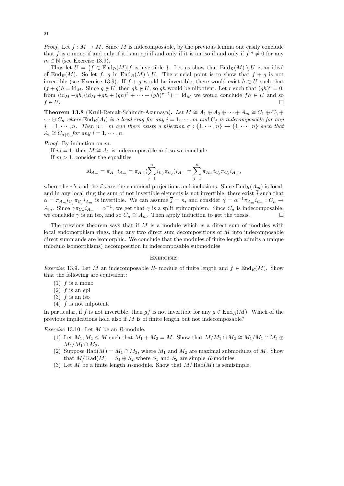*Proof.* Let  $f : M \to M$ . Since M is indecomposable, by the previous lemma one easily conclude that f is a mono if and only if it is an epi if and only if it is an iso if and only if  $f^m \neq 0$  for any  $m \in \mathbb{N}$  (see Exercise 13.9).

Thus let  $U = \{f \in \text{End}_R(M) | f$  is invertible }. Let us show that  $\text{End}_R(M) \setminus U$  is an ideal of  $\text{End}_R(M)$ . So let f, g in  $\text{End}_R(M) \setminus U$ . The crucial point is to show that  $f + g$  is not invertible (see Exercise 13.9). If  $f + g$  would be invertible, there would exist  $h \in U$  such that  $(f+g)h = id_M$ . Since  $g \notin U$ , then  $gh \notin U$ , so gh would be nilpotent. Let r such that  $(gh)^r = 0$ : from  $(\mathrm{id}_M - gh)(\mathrm{id}_M + gh + (gh)^2 + \cdots + (gh)^{r-1}) = \mathrm{id}_M$  we would conclude  $fh \in U$  and so  $f \in U$ .

**Theorem 13.8** (Krull-Remak-Schimdt-Azumaya). Let  $M \cong A_1 \oplus A_2 \oplus \cdots \oplus A_m \cong C_1 \oplus C_2 \oplus$  $\cdots \oplus C_n$  where  $\text{End}_R(A_i)$  is a local ring for any  $i = 1, \dots, m$  and  $C_j$  is indecomposable for any  $j = 1, \dots, n$ . Then  $n = m$  and there exists a bijection  $\sigma : \{1, \dots, n\} \to \{1, \dots, n\}$  such that  $A_i \cong C_{\sigma(i)}$  for any  $i = 1, \cdots, n$ .

Proof. By induction on m.

If  $m = 1$ , then  $M \cong A_1$  is indecomposable and so we conclude.

If  $m > 1$ , consider the equalities

$$
id_{A_m} = \pi_{A_m} i_{A_m} = \pi_{A_m} (\sum_{j=1}^n i_{C_j} \pi_{C_j}) i_{A_m} = \sum_{j=1}^n \pi_{A_m} i_{C_j} \pi_{C_j} i_{A_m},
$$

where the  $\pi$ 's and the *i*'s are the canonical projections and inclusions. Since End<sub>R</sub>( $A_m$ ) is local, and in any local ring the sum of not invertible elements is not invertible, there exist  $\overline{j}$  such that  $\alpha = \pi_{A_m} i_{C_{\overline{j}}} \pi_{C_{\overline{j}}} i_{A_m}$  is invertible. We can assume  $\overline{j} = n$ , and consider  $\gamma = \alpha^{-1} \pi_{A_m} i_{C_n} : C_n \to$  $A_m$ . Since  $\gamma \pi_{C_n} i_{A_m} = \alpha^{-1}$ , we get that  $\gamma$  is a split epimorphism. Since  $C_n$  is indecomposable, we conclude  $\gamma$  is an iso, and so  $C_n \cong A_m$ . Then apply induction to get the thesis.

The previous theorem says that if  $M$  is a module which is a direct sum of modules with local endomorphism rings, then any two direct sum decompositions of M into indecomposable direct summands are isomorphic. We conclude that the modules of finite length admits a unique (modulo isomorphisms) decomposition in indecomposable submodules

#### **EXERCISES**

Exercise 13.9. Let M an indecomposable R- module of finite length and  $f \in \text{End}_{R}(M)$ . Show that the following are equivalent:

- $(1)$  f is a mono
- $(2)$  f is an epi
- $(3)$  f is an iso
- $(4)$  f is not nilpotent.

In particular, if f is not invertible, then gf is not invertible for any  $g \in \text{End}_R(M)$ . Which of the previous implications hold also if  $M$  is of finite length but not indecomposable?

Exercise 13.10. Let M be an R-module.

- (1) Let  $M_1, M_2 \leq M$  such that  $M_1 + M_2 = M$ . Show that  $M/M_1 \cap M_2 \cong M_1/M_1 \cap M_2 \oplus M_2$  $M_2/M_1 \cap M_2$ .
- (2) Suppose Rad( $M$ ) =  $M_1 \cap M_2$ , where  $M_1$  and  $M_2$  are maximal submodules of M. Show that  $M/Rad(M) = S_1 \oplus S_2$  where  $S_1$  and  $S_2$  are simple R-modules.
- (3) Let M be a finite length R-module. Show that  $M/Rad(M)$  is semisimple.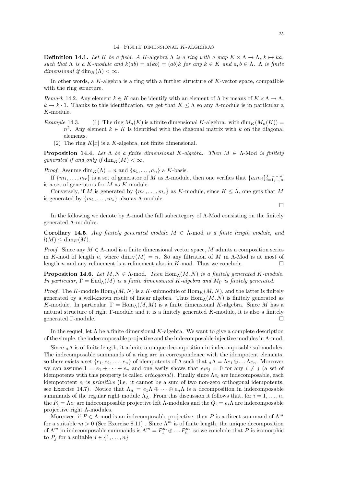**Definition 14.1.** Let K be a field. A K-algebra  $\Lambda$  is a ring with a map  $K \times \Lambda \to \Lambda$ ,  $k \mapsto ka$ , such that  $\Lambda$  is a K-module and  $k(ab) = a(kb) = (ab)k$  for any  $k \in K$  and  $a, b \in \Lambda$ .  $\Lambda$  is finite dimensional if  $\dim_K(\Lambda) < \infty$ .

In other words, a K-algebra is a ring with a further structure of K-vector space, compatible with the ring structure.

Remark 14.2. Any element  $k \in K$  can be identify with an element of  $\Lambda$  by means of  $K \times \Lambda \to \Lambda$ ,  $k \mapsto k \cdot 1$ . Thanks to this identification, we get that  $K \leq \Lambda$  so any  $\Lambda$ -module is in particular a K-module.

- Example 14.3. (1) The ring  $M_n(K)$  is a finite dimensional K-algebra. with  $\dim_K(M_n(K))$  $n^2$ . Any element  $k \in K$  is identified with the diagonal matrix with k on the diagonal elements.
	- (2) The ring  $K[x]$  is a K-algebra, not finite dimensional.

**Proposition 14.4.** Let  $\Lambda$  be a finite dimensional K-algebra. Then  $M \in \Lambda$ -Mod is finitely generated if and only if  $\dim_K(M) < \infty$ .

*Proof.* Assume  $\dim_K(\Lambda) = n$  and  $\{a_1, \ldots, a_n\}$  a K-basis.

If  $\{m_1,\ldots,m_r\}$  is a set of generator of M as  $\Lambda$ -module, then one verifies that  $\{a_im_j\}_{i=1,\ldots,n}^{j=1,\ldots,r}$ is a set of generators for M as K-module.

Conversely, if M is generated by  $\{m_1, \ldots, m_s\}$  as K-module, since  $K \leq \Lambda$ , one gets that M is generated by  $\{m_1, \ldots, m_s\}$  also as  $\Lambda$ -module.

 $\Box$ 

In the following we denote by Λ-mod the full subcategory of Λ-Mod consisting on the finitely generated Λ-modules.

Corollary 14.5. Any finitely generated module  $M \in \Lambda$ -mod is a finite length module, and  $l(M) \leq \dim_K(M)$ .

*Proof.* Since any  $M \in \Lambda$ -mod is a finite dimensional vector space, M admits a composition series in K-mod of length n, where  $\dim_K(M) = n$ . So any filtration of M in Λ-Mod is at most of length n and any refinement is a refinement also in K-mod. Thus we conclude.  $\square$ 

**Proposition 14.6.** Let  $M, N \in \Lambda$ -mod. Then  $\text{Hom}_{\Lambda}(M, N)$  is a finitely generated K-module. In particular,  $\Gamma = \text{End}_{\Lambda}(M)$  is a finite dimensional K-algebra and  $M_{\Gamma}$  is finitely generated.

*Proof.* The K-module  $\text{Hom}_{\Lambda}(M, N)$  is a K-submodule of  $\text{Hom}_{K}(M, N)$ , and the latter is finitely generated by a well-known result of linear algebra. Thus  $\text{Hom}_{\Lambda}(M, N)$  is finitely generated as K-module. In particular,  $\Gamma = \text{Hom}_{\Lambda}(M, M)$  is a finite dimensional K-algebra. Since M has a natural structure of right Γ-module and it is a finitely generated K-module, it is also a finitely generated Γ-module.

In the sequel, let  $\Lambda$  be a finite dimensional K-algebra. We want to give a complete description of the simple, the indecomposable projective and the indecomposable injective modules in Λ-mod.

Since  $\Lambda \Lambda$  is of finite length, it admits a unique decomposition in indecomposable submodules. The indecomposable summands of a ring are in correspondence with the idempotent elements, so there exists a set  $\{e_1, e_2, \ldots, e_n\}$  of idempotents of  $\Lambda$  such that  $\Lambda \Lambda = \Lambda e_1 \oplus \ldots \Lambda e_n$ . Moreover we can assume  $1 = e_1 + \cdots + e_n$  and one easily shows that  $e_i e_j = 0$  for any  $i \neq j$  (a set of idempotents with this property is called *orthogonal*). Finally since  $\Lambda e_i$  are indecomposable, each idempototent  $e_i$  is *primitive* (i.e. it cannot be a sum of two non-zero orthogonal idempotents, see Exercise 14.7). Notice that  $\Lambda_{\Lambda} = e_1 \Lambda \oplus \cdots \oplus e_n \Lambda$  is a decomposition in indecomposable summands of the regular right module  $\Lambda_{\Lambda}$ . From this discussion it follows that, for  $i = 1, \ldots, n$ , the  $P_i = \Lambda e_i$  are indecomposable projective left  $\Lambda$ -modules and the  $Q_i = e_i \Lambda$  are indecomposable projective right  $\Lambda$ -modules.

Moreover, if  $P \in \Lambda$ -mod is an indecomposable projective, then P is a direct summand of  $\Lambda^m$ for a suitable  $m > 0$  (See Exercise 8.11). Since  $\Lambda^m$  is of finite length, the unique decomposition of  $\Lambda^m$  in indecomposable summands is  $\Lambda^m = P_1^m \oplus \ldots P_n^m$ , so we conclude that P is isomorphic to  $P_j$  for a suitable  $j \in \{1, \ldots, n\}$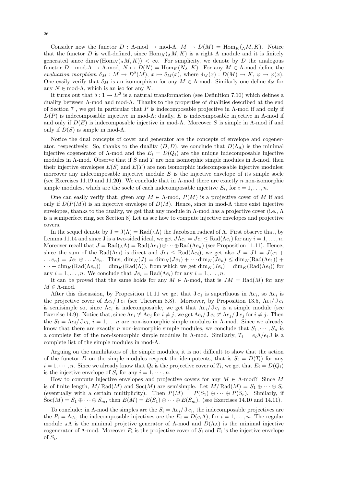Consider now the functor  $D : \Lambda \text{-mod} \to \text{mod-}\Lambda$ ,  $M \mapsto D(M) = \text{Hom}_K(\Lambda M, K)$ . Notice that the functor D is well-defined, since  $\text{Hom}_K(\Lambda M, K)$  is a right  $\Lambda$  module and it is finitely generated since  $\dim_K(\text{Hom}_K(\Lambda, K)) < \infty$ . For simplicity, we denote by D the analogous functor  $D : \text{mod-}\Lambda \to \Lambda \text{mod}, N \mapsto D(N) = \text{Hom}_K(N_\Lambda, K)$ . For any  $M \in \Lambda \text{mod}$  define the evaluation morphism  $\delta_M : M \to D^2(M)$ ,  $x \mapsto \delta_M(x)$ , where  $\delta_M(x) : D(M) \to K$ ,  $\varphi \mapsto \varphi(x)$ . One easily verify that  $\delta_M$  is an isomorphism for any  $M \in \Lambda$ -mod. Similarly one define  $\delta_N$  for any  $N \in \text{mod-}\Lambda$ , which is an iso for any N.

It turns out that  $\delta: 1 \to D^2$  is a natural transformation (see Definition 7.10) which defines a duality between Λ-mod and mod-Λ. Thanks to the properties of dualities described at the end of Section 7 , we get in particular that P is indecomposable projective in Λ-mod if and only if  $D(P)$  is indecomposable injective in mod-Λ; dually, E is indecomposable injective in Λ-mod if and only if  $D(E)$  is indecomposable injective in mod- $\Lambda$ . Moreover S is simple in  $\Lambda$ -mod if and only if  $D(S)$  is simple in mod- $\Lambda$ .

Notice the dual concepts of cover and generator are the concepts of envelope and cogenerator, respectively. So, thanks to the duality  $(D, D)$ , we conclude that  $D(\Lambda_{\Lambda})$  is the minimal injective cogenerator of  $\Lambda$ -mod and the  $E_i = D(Q_i)$  are the unique indecomposable injective modules in  $\Lambda$ -mod. Observe that if S and T are non isomorphic simple modules in  $\Lambda$ -mod, then their injective envelopes  $E(S)$  and  $E(T)$  are non isomorphic indecomposable injective modules; moreover any indecomposable injective module  $E$  is the injective envelope of its simple socle (see Exercises 11.19 and 11.20). We conclude that in  $\Lambda$ -mod there are exactly n non-isomorphic simple modules, which are the socle of each indecomposable injective  $E_i$ , for  $i = 1, \ldots, n$ .

One can easily verify that, given any  $M \in \Lambda$ -mod,  $P(M)$  is a projective cover of M if and only if  $D(P(M))$  is an injective envelope of  $D(M)$ . Hence, since in mod-Λ there exist injective envelopes, thanks to the duality, we get that any module in  $\Lambda$ -mod has a projective cover (i.e.,  $\Lambda$ is a semiperfect ring, see Section 8) Let us see how to compute injective envelopes and projective covers.

In the sequel denote by  $J = J(\Lambda) = \text{Rad}(\Lambda \Lambda)$  the Jacobson radical of  $\Lambda$ . First observe that, by Lemma 11.14 and since J is a two-sided ideal, we get  $J\Lambda e_i = Je_i \leq \text{Rad}(\Lambda e_i)$  for any  $i = 1, ..., n$ . Moreover recall that  $J = \text{Rad}(\Lambda \Lambda) = \text{Rad}(\Lambda e_1) \oplus \cdots \oplus \text{Rad}(\Lambda e_n)$  (see Proposition 11.11). Hence, since the sum of the Rad( $\Lambda e_i$ ) is direct and  $Je_i \leq Rad(\Lambda e_i)$ , we get also  $J = J1 = J(e_1 +$  $... e_n$ ) =  $Je_1 \oplus ... Je_n$ . Thus,  $\dim_K(J) = \dim_K(Je_1) + \cdots \dim_K(Je_n) \leq \dim_K(Rad(\Lambda e_1)) +$  $\cdots + \dim_K(\text{Rad}(\Lambda e_n)) = \dim_K(\text{Rad}(\Lambda))$ , from which we get  $\dim_K(Je_i) = \dim_K(\text{Rad}(\Lambda e_i))$  for any  $i = 1, \ldots, n$ . We conclude that  $Je_i = \text{Rad}(\Lambda e_i)$  for any  $i = 1, \ldots, n$ .

It can be proved that the same holds for any  $M \in \Lambda$ -mod, that is  $JM = \text{Rad}(M)$  for any  $M \in \Lambda$ -mod.

After this discussion, by Proposition 11.11 we get that  $Je_1$  is superfluous in  $Ae_i$ , so  $Ae_i$  is the projective cover of  $\Lambda e_i/\mathrm{J} e_i$  (see Theorem 8.8). Moreover, by Proposition 13.5,  $\Lambda e_i/\mathrm{J} e_i$ is semisimple so, since  $\Lambda e_i$  is indecomposable, we get that  $\Lambda e_i/\mathrm{J} e_i$  is a simple module (see Exercise 14.9). Notice that, since  $\Lambda e_i \ncong \Lambda e_j$  for  $i \neq j$ , we get  $\Lambda e_i/\Lambda e_i \ncong \Lambda e_j/\Lambda e_j$  for  $i \neq j$ . Then the  $S_i = \Lambda e_i / J e_i$ ,  $i = 1, \ldots n$  are non-isomorphic simple modules in  $\Lambda$ -mod. Since we already know that there are exactly n non-isomorphic simple modules, we conclude that  $S_1, \dots, S_n$  is a complete list of the non-isomorphic simple modules in Λ-mod. Similarly,  $T_i = e_i \Lambda / e_i$  J is a complete list of the simple modules in mod- $\Lambda$ .

Arguing on the annihilators of the simple modules, it is not difficult to show that the action of the functor D on the simple modules respect the idempotents, that is  $S_i = D(T_i)$  for any  $i = 1, \dots, n$ . Since we already know that  $Q_i$  is the projective cover of  $T_i$ , we get that  $E_i = D(Q_i)$ is the injective envelope of  $S_i$  for any  $i = 1, \dots, n$ .

How to compute injective envelopes and projective covers for any  $M \in \Lambda$ -mod? Since M is of finite length,  $M/Rad(M)$  and  $Soc(M)$  are semisimple. Let  $M/Rad(M) = S_1 \oplus \cdots \oplus S_r$ (eventually with a certain multiplicity). Then  $P(M) = P(S_1) \oplus \cdots \oplus P(S_r)$ . Similarly, if  $Soc(M) = S_1 \oplus \cdots \oplus S_m$ , then  $E(M) = E(S_1) \oplus \cdots \oplus E(S_m)$ . (see Exercises 14.10 and 14.11).

To conclude: in  $\Lambda$ -mod the simples are the  $S_i = \Lambda e_i / J e_i$ , the indecomposable projectives are the  $P_i = \Lambda e_i$ , the indecomposable injectives are the  $E_i = D(e_i \Lambda)$ , for  $i = 1, ..., n$ . The regular module  $_\Lambda\Lambda$  is the minimal projetive generator of  $\Lambda$ -mod and  $D(\Lambda_\Lambda)$  is the minimal injective cogenerator of  $\Lambda$ -mod. Moreover  $P_i$  is the projective cover of  $S_i$  and  $E_i$  is the injective envelope of  $S_i$ .